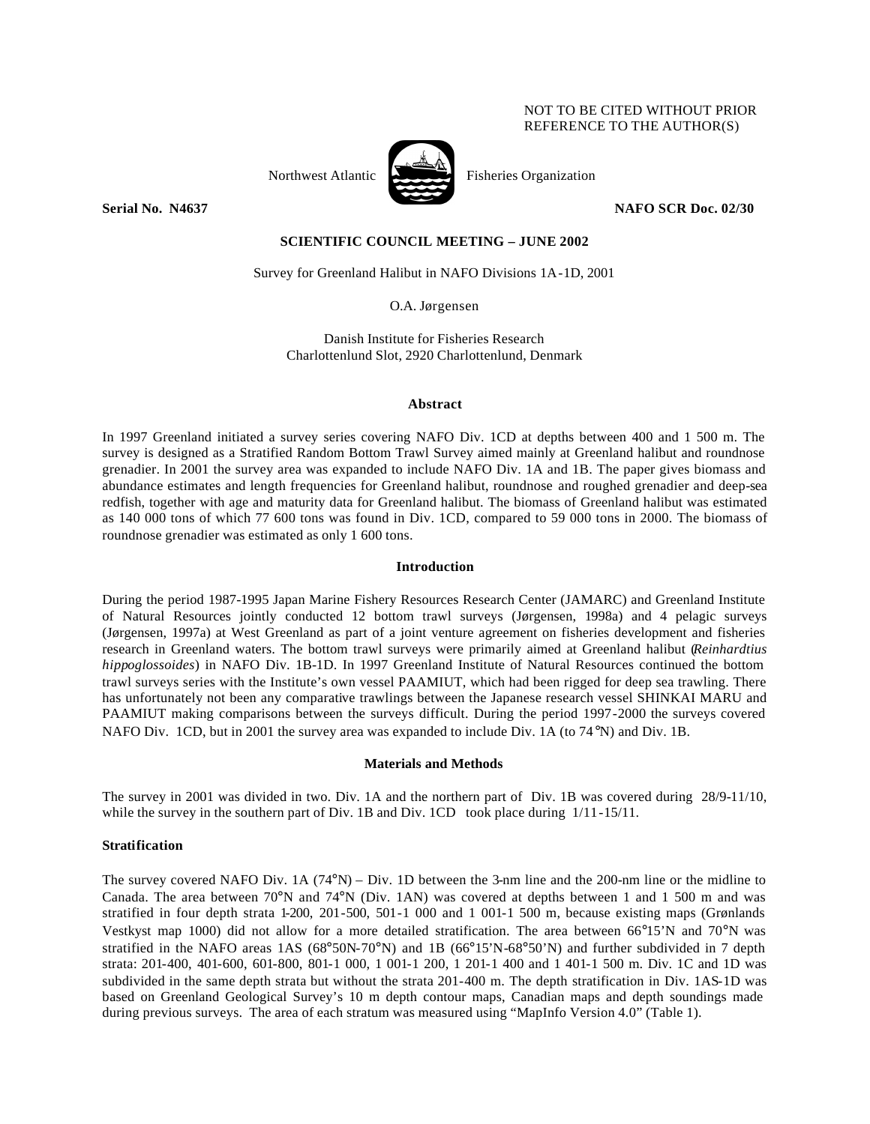## NOT TO BE CITED WITHOUT PRIOR REFERENCE TO THE AUTHOR(S)



Northwest Atlantic Fisheries Organization

**Serial No. N4637 NAFO SCR Doc. 02/30** 

# **SCIENTIFIC COUNCIL MEETING – JUNE 2002**

Survey for Greenland Halibut in NAFO Divisions 1A-1D, 2001

O.A. Jørgensen

Danish Institute for Fisheries Research Charlottenlund Slot, 2920 Charlottenlund, Denmark

#### **Abstract**

In 1997 Greenland initiated a survey series covering NAFO Div. 1CD at depths between 400 and 1 500 m. The survey is designed as a Stratified Random Bottom Trawl Survey aimed mainly at Greenland halibut and roundnose grenadier. In 2001 the survey area was expanded to include NAFO Div. 1A and 1B. The paper gives biomass and abundance estimates and length frequencies for Greenland halibut, roundnose and roughed grenadier and deep-sea redfish, together with age and maturity data for Greenland halibut. The biomass of Greenland halibut was estimated as 140 000 tons of which 77 600 tons was found in Div. 1CD, compared to 59 000 tons in 2000. The biomass of roundnose grenadier was estimated as only 1 600 tons.

#### **Introduction**

During the period 1987-1995 Japan Marine Fishery Resources Research Center (JAMARC) and Greenland Institute of Natural Resources jointly conducted 12 bottom trawl surveys (Jørgensen, 1998a) and 4 pelagic surveys (Jørgensen, 1997a) at West Greenland as part of a joint venture agreement on fisheries development and fisheries research in Greenland waters. The bottom trawl surveys were primarily aimed at Greenland halibut (*Reinhardtius hippoglossoides*) in NAFO Div. 1B-1D. In 1997 Greenland Institute of Natural Resources continued the bottom trawl surveys series with the Institute's own vessel PAAMIUT, which had been rigged for deep sea trawling. There has unfortunately not been any comparative trawlings between the Japanese research vessel SHINKAI MARU and PAAMIUT making comparisons between the surveys difficult. During the period 1997-2000 the surveys covered NAFO Div. 1CD, but in 2001 the survey area was expanded to include Div. 1A (to 74°N) and Div. 1B.

#### **Materials and Methods**

The survey in 2001 was divided in two. Div. 1A and the northern part of Div. 1B was covered during 28/9-11/10, while the survey in the southern part of Div. 1B and Div. 1CD took place during  $1/11-15/11$ .

#### **Stratification**

The survey covered NAFO Div.  $1A (74°N) - Div. 1D$  between the 3-nm line and the 200-nm line or the midline to Canada. The area between 70°N and 74°N (Div. 1AN) was covered at depths between 1 and 1 500 m and was stratified in four depth strata 1-200, 201-500, 501-1 000 and 1 001-1 500 m, because existing maps (Grønlands Vestkyst map 1000) did not allow for a more detailed stratification. The area between 66°15'N and 70°N was stratified in the NAFO areas 1AS (68°50N-70°N) and 1B (66°15'N-68°50'N) and further subdivided in 7 depth strata: 201-400, 401-600, 601-800, 801-1 000, 1 001-1 200, 1 201-1 400 and 1 401-1 500 m. Div. 1C and 1D was subdivided in the same depth strata but without the strata 201-400 m. The depth stratification in Div. 1AS-1D was based on Greenland Geological Survey's 10 m depth contour maps, Canadian maps and depth soundings made during previous surveys. The area of each stratum was measured using "MapInfo Version 4.0" (Table 1).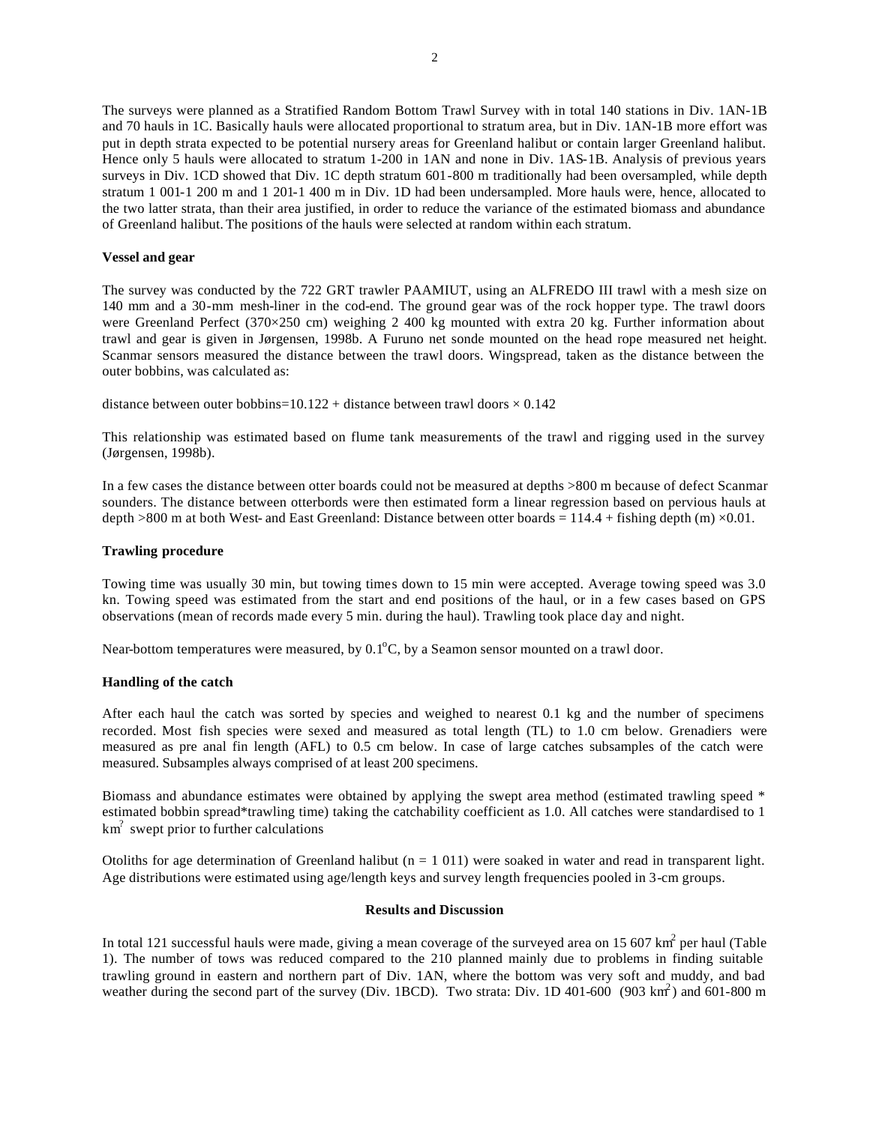The surveys were planned as a Stratified Random Bottom Trawl Survey with in total 140 stations in Div. 1AN-1B and 70 hauls in 1C. Basically hauls were allocated proportional to stratum area, but in Div. 1AN-1B more effort was put in depth strata expected to be potential nursery areas for Greenland halibut or contain larger Greenland halibut. Hence only 5 hauls were allocated to stratum 1-200 in 1AN and none in Div. 1AS-1B. Analysis of previous years surveys in Div. 1CD showed that Div. 1C depth stratum 601-800 m traditionally had been oversampled, while depth stratum 1 001-1 200 m and 1 201-1 400 m in Div. 1D had been undersampled. More hauls were, hence, allocated to the two latter strata, than their area justified, in order to reduce the variance of the estimated biomass and abundance of Greenland halibut. The positions of the hauls were selected at random within each stratum.

## **Vessel and gear**

The survey was conducted by the 722 GRT trawler PAAMIUT, using an ALFREDO III trawl with a mesh size on 140 mm and a 30-mm mesh-liner in the cod-end. The ground gear was of the rock hopper type. The trawl doors were Greenland Perfect (370×250 cm) weighing 2 400 kg mounted with extra 20 kg. Further information about trawl and gear is given in Jørgensen, 1998b. A Furuno net sonde mounted on the head rope measured net height. Scanmar sensors measured the distance between the trawl doors. Wingspread, taken as the distance between the outer bobbins, was calculated as:

distance between outer bobbins=10.122 + distance between trawl doors  $\times$  0.142

This relationship was estimated based on flume tank measurements of the trawl and rigging used in the survey (Jørgensen, 1998b).

In a few cases the distance between otter boards could not be measured at depths >800 m because of defect Scanmar sounders. The distance between otterbords were then estimated form a linear regression based on pervious hauls at depth  $>800$  m at both West- and East Greenland: Distance between otter boards = 114.4 + fishing depth (m)  $\times 0.01$ .

#### **Trawling procedure**

Towing time was usually 30 min, but towing times down to 15 min were accepted. Average towing speed was 3.0 kn. Towing speed was estimated from the start and end positions of the haul, or in a few cases based on GPS observations (mean of records made every 5 min. during the haul). Trawling took place day and night.

Near-bottom temperatures were measured, by  $0.1^{\circ}C$ , by a Seamon sensor mounted on a trawl door.

### **Handling of the catch**

After each haul the catch was sorted by species and weighed to nearest 0.1 kg and the number of specimens recorded. Most fish species were sexed and measured as total length (TL) to 1.0 cm below. Grenadiers were measured as pre anal fin length (AFL) to 0.5 cm below. In case of large catches subsamples of the catch were measured. Subsamples always comprised of at least 200 specimens.

Biomass and abundance estimates were obtained by applying the swept area method (estimated trawling speed \* estimated bobbin spread\*trawling time) taking the catchability coefficient as 1.0. All catches were standardised to 1  $km<sup>2</sup>$  swept prior to further calculations

Otoliths for age determination of Greenland halibut  $(n = 1 011)$  were soaked in water and read in transparent light. Age distributions were estimated using age/length keys and survey length frequencies pooled in 3-cm groups.

#### **Results and Discussion**

In total 121 successful hauls were made, giving a mean coverage of the surveyed area on 15 607 km<sup>2</sup> per haul (Table 1). The number of tows was reduced compared to the 210 planned mainly due to problems in finding suitable trawling ground in eastern and northern part of Div. 1AN, where the bottom was very soft and muddy, and bad weather during the second part of the survey (Div. 1BCD). Two strata: Div. 1D 401-600 (903 km<sup>2</sup>) and 601-800 m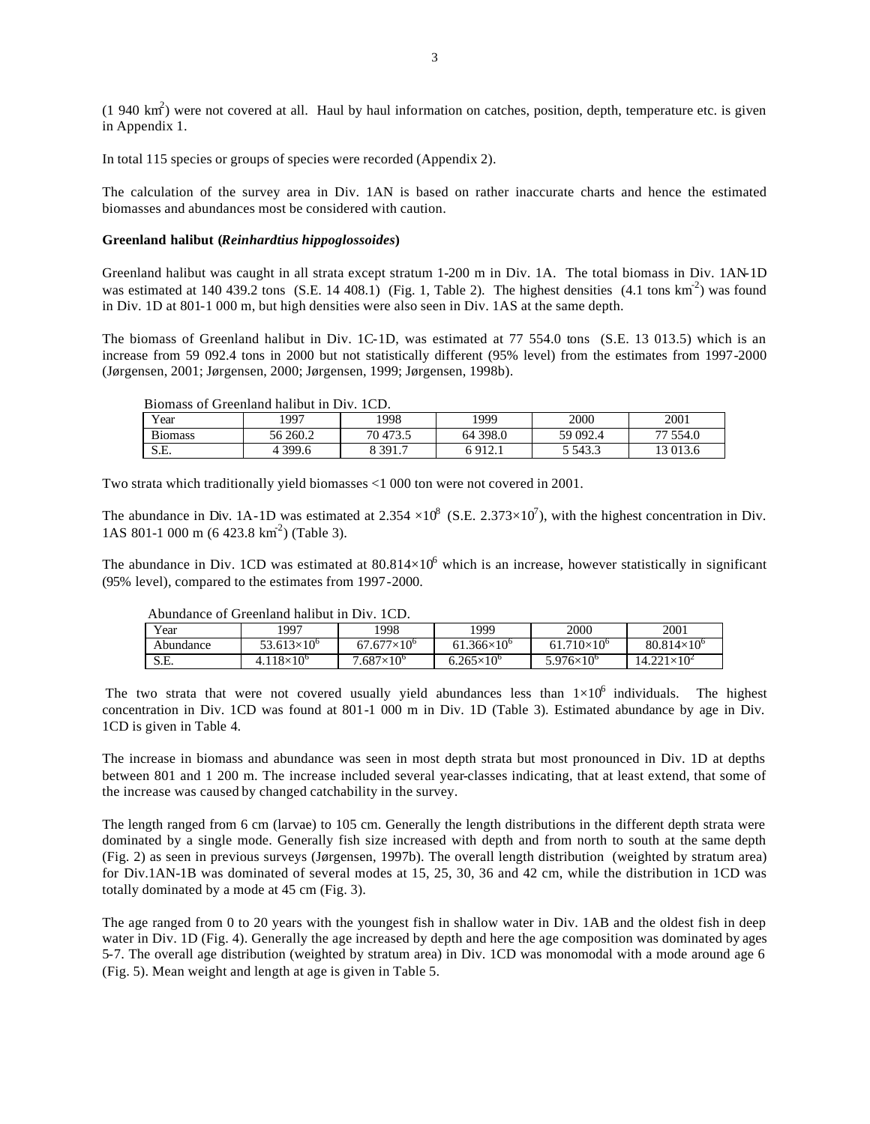$(1.940 \text{ km}^2)$  were not covered at all. Haul by haul information on catches, position, depth, temperature etc. is given in Appendix 1.

In total 115 species or groups of species were recorded (Appendix 2).

The calculation of the survey area in Div. 1AN is based on rather inaccurate charts and hence the estimated biomasses and abundances most be considered with caution.

## **Greenland halibut (***Reinhardtius hippoglossoides***)**

Greenland halibut was caught in all strata except stratum 1-200 m in Div. 1A. The total biomass in Div. 1AN-1D was estimated at 140 439.2 tons  $(S.E. 14 408.1)$  (Fig. 1, Table 2). The highest densities  $(4.1 \text{ tons km}^2)$  was found in Div. 1D at 801-1 000 m, but high densities were also seen in Div. 1AS at the same depth.

The biomass of Greenland halibut in Div. 1C-1D, was estimated at 77 554.0 tons (S.E. 13 013.5) which is an increase from 59 092.4 tons in 2000 but not statistically different (95% level) from the estimates from 1997-2000 (Jørgensen, 2001; Jørgensen, 2000; Jørgensen, 1999; Jørgensen, 1998b).

Biomass of Greenland halibut in Div. 1CD.

| Year           | 1997     | 1998       | 1999                              | 2000     | 2001     |
|----------------|----------|------------|-----------------------------------|----------|----------|
| <b>Biomass</b> | 56 260.2 | 70 473.5   | 64 398.0                          | 59 092.4 | 77 554.0 |
| S.E.           | 399.6    | 8 3 9 1 .7 | 6912.<br>$1 \overline{2} \cdot 1$ | 5 543.3  | 13 013.6 |

Two strata which traditionally yield biomasses <1 000 ton were not covered in 2001.

The abundance in Div. 1A-1D was estimated at 2.354  $\times 10^8$  (S.E. 2.373 $\times 10^7$ ), with the highest concentration in Div. 1AS 801-1 000 m (6 423.8 km<sup>2</sup>) (Table 3).

The abundance in Div. 1CD was estimated at  $80.814 \times 10^6$  which is an increase, however statistically in significant (95% level), compared to the estimates from 1997-2000.

Abundance of Greenland halibut in Div. 1CD.

| Year      | 1997                 | 1998                 | 1999                 | 2000                 | 2001                 |
|-----------|----------------------|----------------------|----------------------|----------------------|----------------------|
| Abundance | $53.613\times10^{6}$ | $67.677\times10^{6}$ | $61.366\times10^{6}$ | $61.710\times10^{6}$ | $80.814\times10^{6}$ |
| S.E.      | $4.118\times10^{6}$  | $7.687\times10^{6}$  | $6.265\times10^{6}$  | $5.976\times10^{6}$  | $14.221\times10^{2}$ |

The two strata that were not covered usually yield abundances less than  $1\times10^6$  individuals. The highest concentration in Div. 1CD was found at 801-1 000 m in Div. 1D (Table 3). Estimated abundance by age in Div. 1CD is given in Table 4.

The increase in biomass and abundance was seen in most depth strata but most pronounced in Div. 1D at depths between 801 and 1 200 m. The increase included several year-classes indicating, that at least extend, that some of the increase was caused by changed catchability in the survey.

The length ranged from 6 cm (larvae) to 105 cm. Generally the length distributions in the different depth strata were dominated by a single mode. Generally fish size increased with depth and from north to south at the same depth (Fig. 2) as seen in previous surveys (Jørgensen, 1997b). The overall length distribution (weighted by stratum area) for Div.1AN-1B was dominated of several modes at 15, 25, 30, 36 and 42 cm, while the distribution in 1CD was totally dominated by a mode at 45 cm (Fig. 3).

The age ranged from 0 to 20 years with the youngest fish in shallow water in Div. 1AB and the oldest fish in deep water in Div. 1D (Fig. 4). Generally the age increased by depth and here the age composition was dominated by ages 5-7. The overall age distribution (weighted by stratum area) in Div. 1CD was monomodal with a mode around age 6 (Fig. 5). Mean weight and length at age is given in Table 5.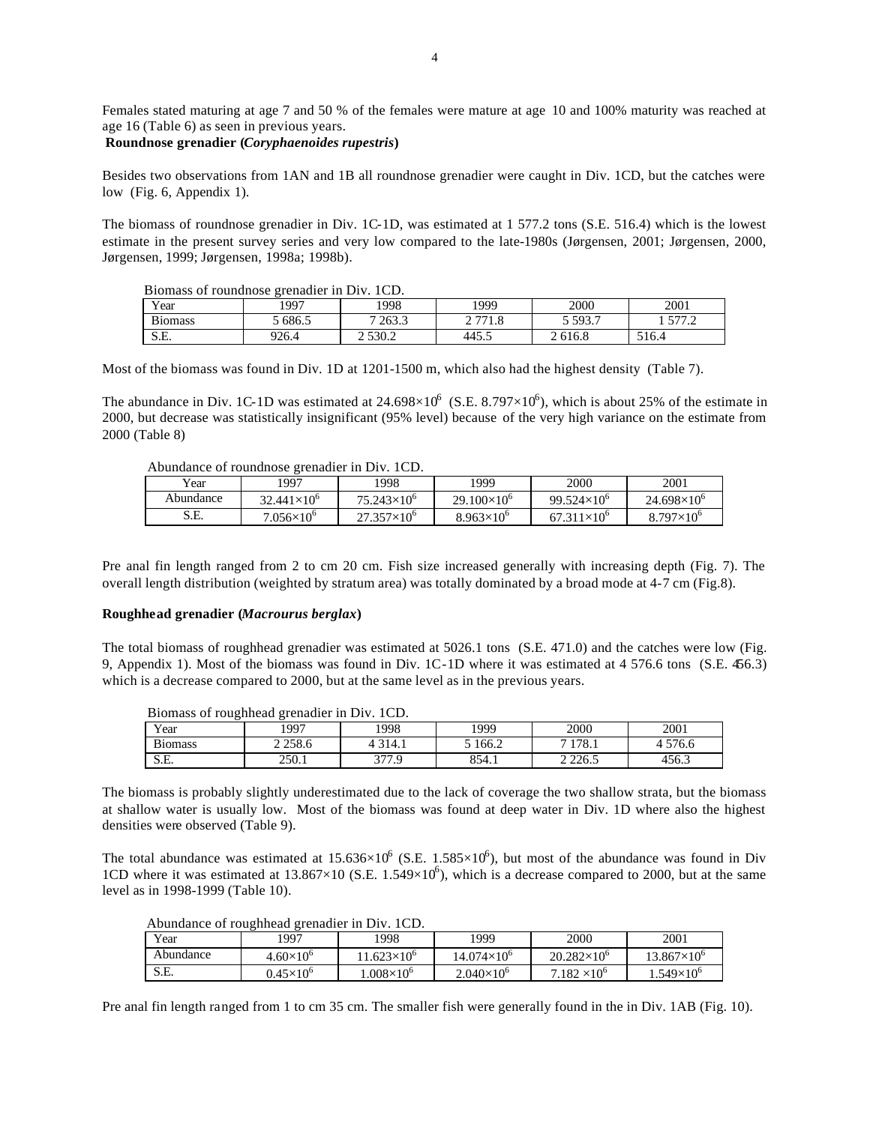Females stated maturing at age 7 and 50 % of the females were mature at age 10 and 100% maturity was reached at age 16 (Table 6) as seen in previous years.

# **Roundnose grenadier (***Coryphaenoides rupestris***)**

Besides two observations from 1AN and 1B all roundnose grenadier were caught in Div. 1CD, but the catches were low (Fig. 6, Appendix 1).

The biomass of roundnose grenadier in Div. 1C-1D, was estimated at 1 577.2 tons (S.E. 516.4) which is the lowest estimate in the present survey series and very low compared to the late-1980s (Jørgensen, 2001; Jørgensen, 2000, Jørgensen, 1999; Jørgensen, 1998a; 1998b).

| Biomass of roundnose grenadier in Div. TCD. |         |         |         |           |       |  |  |  |  |
|---------------------------------------------|---------|---------|---------|-----------|-------|--|--|--|--|
| Year                                        | 1997    | 1998    | 1999    | 2000      | 2001  |  |  |  |  |
| <b>Biomass</b>                              | 5 686.5 | 7 263.3 | 2 771.8 | 5 5 9 3.7 | 577.2 |  |  |  |  |
| S.E.                                        | 926.4   | 2 530.2 | 445.5   | 2 616.8   | 516.4 |  |  |  |  |

Biomass of roundnose grenadier in Div. 1CD.

Most of the biomass was found in Div. 1D at 1201-1500 m, which also had the highest density (Table 7).

The abundance in Div. 1C-1D was estimated at  $24.698\times10^6$  (S.E. 8.797×10<sup>6</sup>), which is about 25% of the estimate in 2000, but decrease was statistically insignificant (95% level) because of the very high variance on the estimate from 2000 (Table 8)

Abundance of roundnose grenadier in Div. 1CD.

| Year      | 1997                 | 1998                 | 1999                 | 2000                 | 2001                 |
|-----------|----------------------|----------------------|----------------------|----------------------|----------------------|
| Abundance | $32.441\times10^{6}$ | $75.243\times10^{6}$ | $29.100\times10^{6}$ | $99.524\times10^{6}$ | $24.698\times10^{6}$ |
| S.E.      | $7.056\times10^{6}$  | $27.357\times10^{6}$ | $8.963\times10^{6}$  | $67.311\times10^{6}$ | $8.797\times10^{6}$  |

Pre anal fin length ranged from 2 to cm 20 cm. Fish size increased generally with increasing depth (Fig. 7). The overall length distribution (weighted by stratum area) was totally dominated by a broad mode at 4-7 cm (Fig.8).

### **Roughhead grenadier (***Macrourus berglax***)**

The total biomass of roughhead grenadier was estimated at 5026.1 tons (S.E. 471.0) and the catches were low (Fig. 9, Appendix 1). Most of the biomass was found in Div. 1C-1D where it was estimated at 4 576.6 tons (S.E. 456.3) which is a decrease compared to 2000, but at the same level as in the previous years.

|  |  | Biomass of roughhead grenadier in Div. 1CD. |  |  |
|--|--|---------------------------------------------|--|--|
|  |  |                                             |  |  |

| Year                     | 1997        | 1998            | 1999  | 2000       | 2001       |
|--------------------------|-------------|-----------------|-------|------------|------------|
| <b>Biomass</b>           | 2 2 5 8 . 6 | 314.1           | 166.2 | 178.1<br>- | 576.6<br>∸ |
| $C$ $\Gamma$<br>.تــا. ت | 250.1       | 3770<br>.<br>້. | 854.1 | 2 2 2 6 .5 | 456.3      |

The biomass is probably slightly underestimated due to the lack of coverage the two shallow strata, but the biomass at shallow water is usually low. Most of the biomass was found at deep water in Div. 1D where also the highest densities were observed (Table 9).

The total abundance was estimated at  $15.636 \times 10^6$  (S.E.  $1.585 \times 10^6$ ), but most of the abundance was found in Div 1CD where it was estimated at  $13.867 \times 10$  (S.E.  $1.549 \times 10^6$ ), which is a decrease compared to 2000, but at the same level as in 1998-1999 (Table 10).

| Year      | 1997               | 1998                | 1999                 | 2000                  | 2001                 |
|-----------|--------------------|---------------------|----------------------|-----------------------|----------------------|
| Abundance | $4.60\times10^{6}$ | $1.623\times10^{6}$ | $14.074\times10^{6}$ | $20.282\times10^{6}$  | $13.867\times10^{6}$ |
| S.E.      | $0.45\times10^{6}$ | $1.008\times10^{6}$ | $2.040\times10^{6}$  | $7.182 \times 10^{6}$ | $1.549\times10^{6}$  |

Abundance of roughhead grenadier in Div. 1CD.

Pre anal fin length ranged from 1 to cm 35 cm. The smaller fish were generally found in the in Div. 1AB (Fig. 10).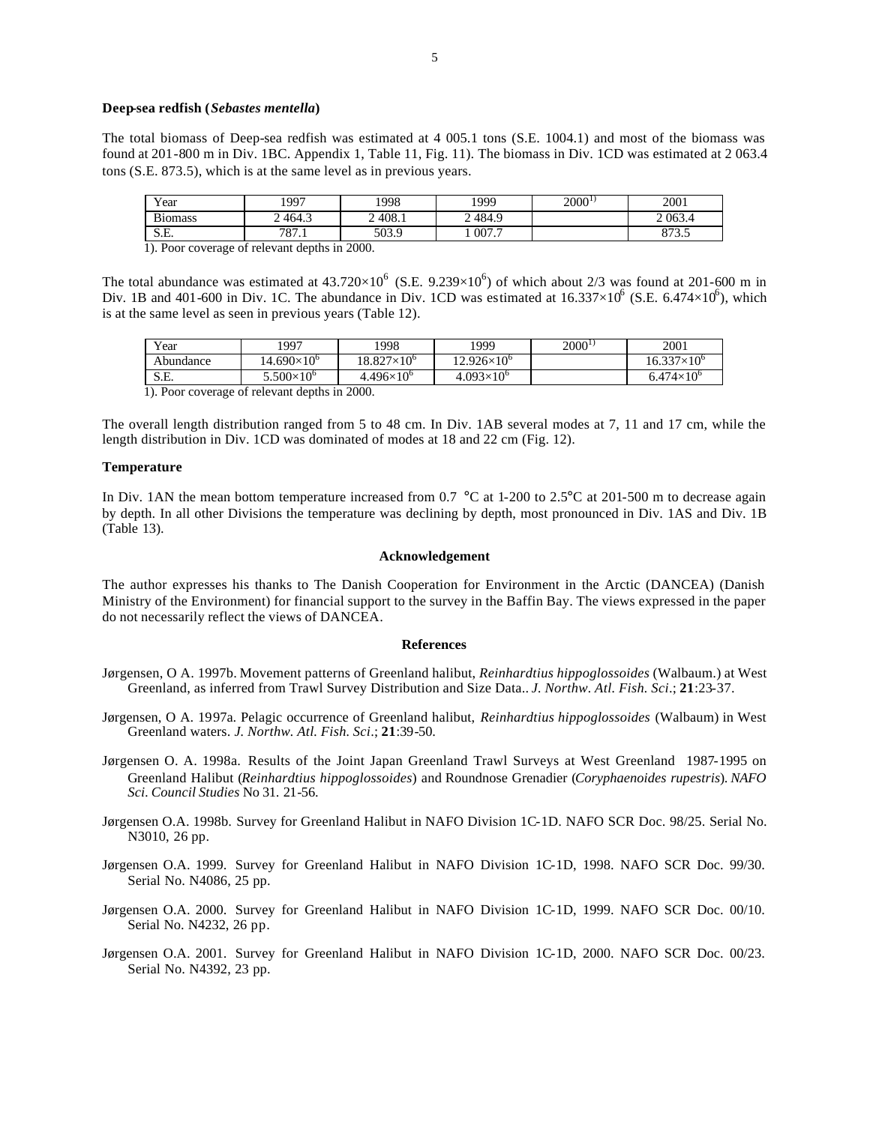#### **Deep-sea redfish (***Sebastes mentella***)**

The total biomass of Deep-sea redfish was estimated at 4 005.1 tons (S.E. 1004.1) and most of the biomass was found at 201-800 m in Div. 1BC. Appendix 1, Table 11, Fig. 11). The biomass in Div. 1CD was estimated at 2 063.4 tons (S.E. 873.5), which is at the same level as in previous years.

| Year          | 1997       | 1998        | 1999      | $2000^{\frac{1}{2}}$ | 2001           |
|---------------|------------|-------------|-----------|----------------------|----------------|
| n.<br>B10mass | 464.3<br>∼ | 1408.1<br>∸ | . 484.9   |                      | 2 0 6 3 . 4    |
| S.E.          | 787.1      | 503.9       | 007.<br>- |                      | 0.72E<br>019.9 |
| $\sim$ $\sim$ | - 1        | 0.000       |           |                      |                |

1). Poor coverage of relevant depths in 2000.

The total abundance was estimated at  $43.720 \times 10^6$  (S.E. 9.239 $\times 10^6$ ) of which about 2/3 was found at 201-600 m in Div. 1B and 401-600 in Div. 1C. The abundance in Div. 1CD was estimated at  $16.337\times10^6$  (S.E. 6.474 $\times10^6$ ), which is at the same level as seen in previous years (Table 12).

| $14.690\times10^{6}$<br>$18.827\times10^{6}$<br>$12.926\times10^{6}$<br>Abundance | 2001                 |
|-----------------------------------------------------------------------------------|----------------------|
|                                                                                   | $16.337\times10^{6}$ |
| S.E.<br>$4.093\times10^{6}$<br>$5.500\times10^{6}$<br>$4.496\times10^{6}$         | $6.474\times10^{6}$  |

1). Poor coverage of relevant depths in 2000.

The overall length distribution ranged from 5 to 48 cm. In Div. 1AB several modes at 7, 11 and 17 cm, while the length distribution in Div. 1CD was dominated of modes at 18 and 22 cm (Fig. 12).

### **Temperature**

In Div. 1AN the mean bottom temperature increased from 0.7 °C at 1-200 to 2.5°C at 201-500 m to decrease again by depth. In all other Divisions the temperature was declining by depth, most pronounced in Div. 1AS and Div. 1B (Table 13).

#### **Acknowledgement**

The author expresses his thanks to The Danish Cooperation for Environment in the Arctic (DANCEA) (Danish Ministry of the Environment) for financial support to the survey in the Baffin Bay. The views expressed in the paper do not necessarily reflect the views of DANCEA.

#### **References**

- Jørgensen, O A. 1997b. Movement patterns of Greenland halibut, *Reinhardtius hippoglossoides* (Walbaum.) at West Greenland, as inferred from Trawl Survey Distribution and Size Data.. *J. Northw. Atl. Fish. Sci*.; **21**:23-37.
- Jørgensen, O A. 1997a. Pelagic occurrence of Greenland halibut, *Reinhardtius hippoglossoides* (Walbaum) in West Greenland waters. *J. Northw. Atl. Fish. Sci*.; **21**:39-50.
- Jørgensen O. A. 1998a. Results of the Joint Japan Greenland Trawl Surveys at West Greenland 1987-1995 on Greenland Halibut (*Reinhardtius hippoglossoides*) and Roundnose Grenadier (*Coryphaenoides rupestris*). *NAFO Sci. Council Studies* No 31. 21-56.
- Jørgensen O.A. 1998b. Survey for Greenland Halibut in NAFO Division 1C-1D. NAFO SCR Doc. 98/25. Serial No. N3010, 26 pp.
- Jørgensen O.A. 1999. Survey for Greenland Halibut in NAFO Division 1C-1D, 1998. NAFO SCR Doc. 99/30. Serial No. N4086, 25 pp.
- Jørgensen O.A. 2000. Survey for Greenland Halibut in NAFO Division 1C-1D, 1999. NAFO SCR Doc. 00/10. Serial No. N4232, 26 pp.
- Jørgensen O.A. 2001. Survey for Greenland Halibut in NAFO Division 1C-1D, 2000. NAFO SCR Doc. 00/23. Serial No. N4392, 23 pp.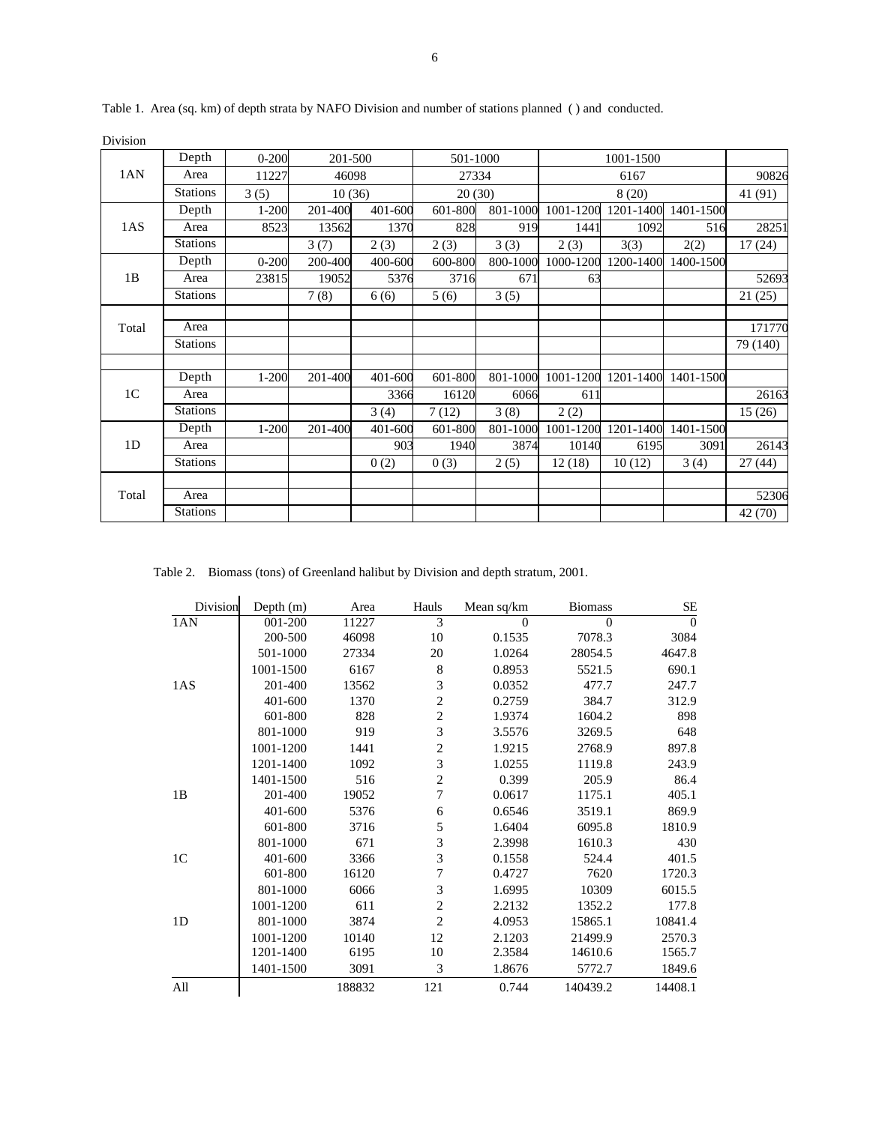|                | Depth           | $0 - 200$ | 201-500 |         | 501-1000 |          |           | 1001-1500 |           |          |
|----------------|-----------------|-----------|---------|---------|----------|----------|-----------|-----------|-----------|----------|
| 1AN            | Area            | 11227     | 46098   |         | 27334    |          |           | 6167      |           | 90826    |
|                | <b>Stations</b> | 3(5)      | 10(36)  |         | 20(30)   |          |           | 8(20)     |           | 41 (91)  |
|                | Depth           | $1 - 200$ | 201-400 | 401-600 | 601-800  | 801-1000 | 1001-1200 | 1201-1400 | 1401-1500 |          |
| 1AS            | Area            | 8523      | 13562   | 1370    | 828      | 919      | 1441      | 1092      | 516       | 28251    |
|                | <b>Stations</b> |           | 3(7)    | 2(3)    | 2(3)     | 3(3)     | 2(3)      | 3(3)      | 2(2)      | 17(24)   |
|                | Depth           | $0 - 200$ | 200-400 | 400-600 | 600-800  | 800-1000 | 1000-1200 | 1200-1400 | 1400-1500 |          |
| 1B             | Area            | 23815     | 19052   | 5376    | 3716     | 671      | 63        |           |           | 52693    |
|                | <b>Stations</b> |           | 7(8)    | 6(6)    | 5(6)     | 3(5)     |           |           |           | 21(25)   |
|                |                 |           |         |         |          |          |           |           |           |          |
| Total          | Area            |           |         |         |          |          |           |           |           | 171770   |
|                | <b>Stations</b> |           |         |         |          |          |           |           |           | 79 (140) |
|                |                 |           |         |         |          |          |           |           |           |          |
|                | Depth           | $1 - 200$ | 201-400 | 401-600 | 601-800  | 801-1000 | 1001-1200 | 1201-1400 | 1401-1500 |          |
| 1 <sup>C</sup> | Area            |           |         | 3366    | 16120    | 6066     | 611       |           |           | 26163    |
|                | <b>Stations</b> |           |         | 3(4)    | 7(12)    | 3(8)     | 2(2)      |           |           | 15(26)   |
|                | Depth           | $1 - 200$ | 201-400 | 401-600 | 601-800  | 801-1000 | 1001-1200 | 1201-1400 | 1401-1500 |          |
| 1 <sub>D</sub> | Area            |           |         | 903     | 1940     | 3874     | 10140     | 6195      | 3091      | 26143    |
|                | <b>Stations</b> |           |         | 0(2)    | 0(3)     | 2(5)     | 12(18)    | 10(12)    | 3(4)      | 27(44)   |
|                |                 |           |         |         |          |          |           |           |           |          |
| Total          | Area            |           |         |         |          |          |           |           |           | 52306    |
|                | <b>Stations</b> |           |         |         |          |          |           |           |           | 42 (70)  |

Table 1. Area (sq. km) of depth strata by NAFO Division and number of stations planned ( ) and conducted.

Division

Table 2. Biomass (tons) of Greenland halibut by Division and depth stratum, 2001.

| Division       | Depth $(m)$ | Area   | Hauls          | Mean sq/km   | <b>Biomass</b> | SE.      |
|----------------|-------------|--------|----------------|--------------|----------------|----------|
| 1AN            | 001-200     | 11227  | 3              | $\mathbf{0}$ | $\Omega$       | $\theta$ |
|                | 200-500     | 46098  | 10             | 0.1535       | 7078.3         | 3084     |
|                | 501-1000    | 27334  | 20             | 1.0264       | 28054.5        | 4647.8   |
|                | 1001-1500   | 6167   | $\,$ 8 $\,$    | 0.8953       | 5521.5         | 690.1    |
| 1AS            | 201-400     | 13562  | 3              | 0.0352       | 477.7          | 247.7    |
|                | 401-600     | 1370   | $\sqrt{2}$     | 0.2759       | 384.7          | 312.9    |
|                | 601-800     | 828    | $\overline{c}$ | 1.9374       | 1604.2         | 898      |
|                | 801-1000    | 919    | 3              | 3.5576       | 3269.5         | 648      |
|                | 1001-1200   | 1441   | $\overline{c}$ | 1.9215       | 2768.9         | 897.8    |
|                | 1201-1400   | 1092   | 3              | 1.0255       | 1119.8         | 243.9    |
|                | 1401-1500   | 516    | $\overline{c}$ | 0.399        | 205.9          | 86.4     |
| 1B             | 201-400     | 19052  | $\overline{7}$ | 0.0617       | 1175.1         | 405.1    |
|                | 401-600     | 5376   | 6              | 0.6546       | 3519.1         | 869.9    |
|                | 601-800     | 3716   | 5              | 1.6404       | 6095.8         | 1810.9   |
|                | 801-1000    | 671    | 3              | 2.3998       | 1610.3         | 430      |
| 1 <sup>C</sup> | 401-600     | 3366   | 3              | 0.1558       | 524.4          | 401.5    |
|                | 601-800     | 16120  | 7              | 0.4727       | 7620           | 1720.3   |
|                | 801-1000    | 6066   | 3              | 1.6995       | 10309          | 6015.5   |
|                | 1001-1200   | 611    | $\overline{2}$ | 2.2132       | 1352.2         | 177.8    |
| 1 <sub>D</sub> | 801-1000    | 3874   | $\overline{2}$ | 4.0953       | 15865.1        | 10841.4  |
|                | 1001-1200   | 10140  | 12             | 2.1203       | 21499.9        | 2570.3   |
|                | 1201-1400   | 6195   | 10             | 2.3584       | 14610.6        | 1565.7   |
|                | 1401-1500   | 3091   | 3              | 1.8676       | 5772.7         | 1849.6   |
| All            |             | 188832 | 121            | 0.744        | 140439.2       | 14408.1  |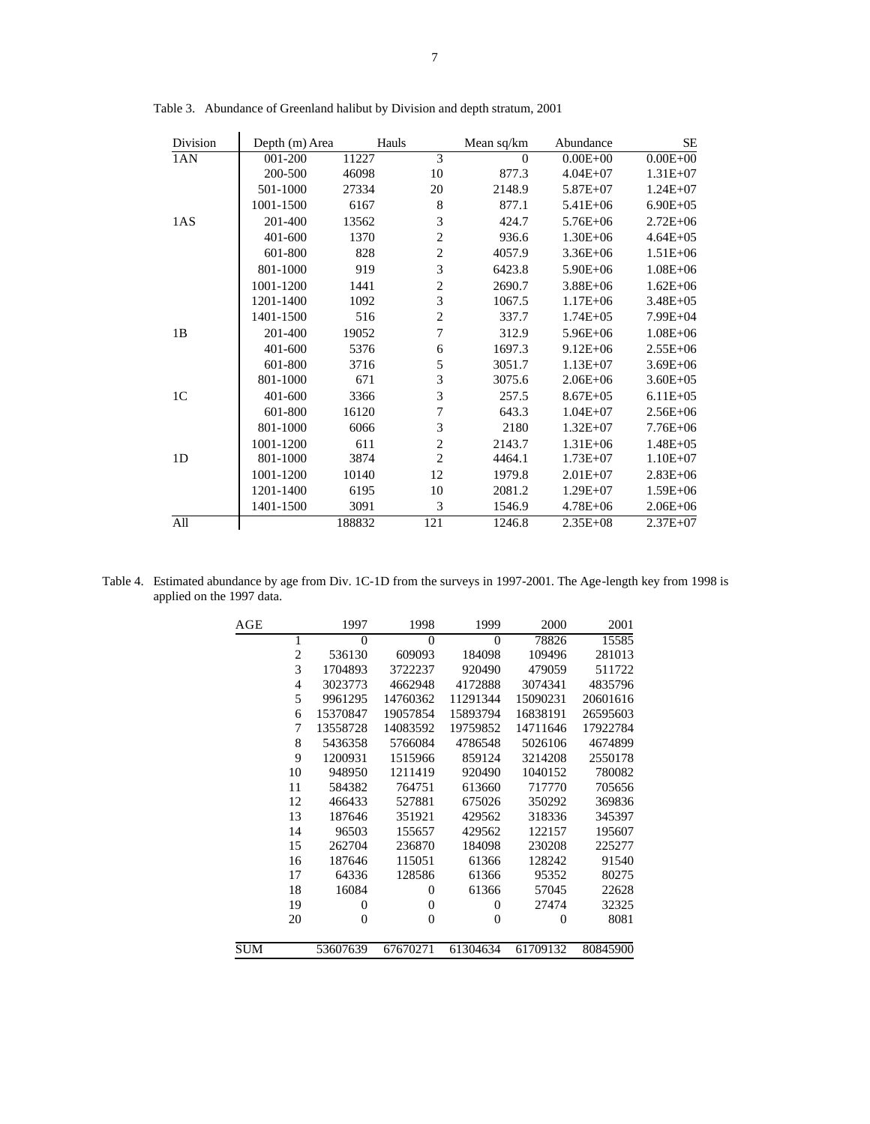| Division       | Depth (m) Area | Hauls  |                | Mean sq/km | Abundance     | SE            |
|----------------|----------------|--------|----------------|------------|---------------|---------------|
| 1AN            | 001-200        | 11227  | 3              | $\Omega$   | $0.00E + 00$  | $0.00E + 00$  |
|                | 200-500        | 46098  | 10             | 877.3      | $4.04E + 07$  | $1.31E+07$    |
|                | 501-1000       | 27334  | 20             | 2148.9     | 5.87E+07      | $1.24E+07$    |
|                | 1001-1500      | 6167   | $\,$ 8 $\,$    | 877.1      | $5.41E + 06$  | $6.90E + 05$  |
| 1AS            | 201-400        | 13562  | 3              | 424.7      | $5.76E + 06$  | $2.72E + 06$  |
|                | 401-600        | 1370   | $\overline{c}$ | 936.6      | $1.30E + 06$  | $4.64E + 05$  |
|                | 601-800        | 828    | $\overline{2}$ | 4057.9     | $3.36E + 06$  | $1.51E + 06$  |
|                | 801-1000       | 919    | 3              | 6423.8     | $5.90E + 06$  | $1.08E + 06$  |
|                | 1001-1200      | 1441   | $\overline{c}$ | 2690.7     | $3.88E + 06$  | $1.62E + 06$  |
|                | 1201-1400      | 1092   | 3              | 1067.5     | $1.17E + 06$  | $3.48E + 05$  |
|                | 1401-1500      | 516    | $\overline{2}$ | 337.7      | $1.74E + 0.5$ | 7.99E+04      |
| 1B             | 201-400        | 19052  | 7              | 312.9      | $5.96E + 06$  | $1.08E + 06$  |
|                | 401-600        | 5376   | 6              | 1697.3     | $9.12E + 06$  | $2.55E + 06$  |
|                | 601-800        | 3716   | 5              | 3051.7     | $1.13E+07$    | $3.69E + 06$  |
|                | 801-1000       | 671    | 3              | 3075.6     | $2.06E + 06$  | $3.60E + 05$  |
| 1 <sup>C</sup> | 401-600        | 3366   | 3              | 257.5      | $8.67E + 0.5$ | $6.11E + 0.5$ |
|                | 601-800        | 16120  | $\overline{7}$ | 643.3      | $1.04E + 07$  | $2.56E + 06$  |
|                | 801-1000       | 6066   | 3              | 2180       | $1.32E + 07$  | $7.76E + 06$  |
|                | 1001-1200      | 611    | $\mathbf{2}$   | 2143.7     | $1.31E + 06$  | $1.48E + 05$  |
| 1 <sub>D</sub> | 801-1000       | 3874   | $\overline{2}$ | 4464.1     | $1.73E+07$    | $1.10E + 07$  |
|                | 1001-1200      | 10140  | 12             | 1979.8     | $2.01E+07$    | $2.83E + 06$  |
|                | 1201-1400      | 6195   | 10             | 2081.2     | $1.29E + 07$  | $1.59E + 06$  |
|                | 1401-1500      | 3091   | 3              | 1546.9     | $4.78E + 06$  | $2.06E + 06$  |
| All            |                | 188832 | 121            | 1246.8     | $2.35E + 08$  | $2.37E + 07$  |

Table 3. Abundance of Greenland halibut by Division and depth stratum, 2001

Table 4. Estimated abundance by age from Div. 1C-1D from the surveys in 1997-2001. The Age-length key from 1998 is applied on the 1997 data.

| AGE |                | 1997           | 1998     | 1999     | 2000           | 2001     |
|-----|----------------|----------------|----------|----------|----------------|----------|
|     | $\mathbf{1}$   | $\overline{0}$ | $\theta$ | $\theta$ | 78826          | 15585    |
|     | $\overline{c}$ | 536130         | 609093   | 184098   | 109496         | 281013   |
|     | 3              | 1704893        | 3722237  | 920490   | 479059         | 511722   |
|     | 4              | 3023773        | 4662948  | 4172888  | 3074341        | 4835796  |
|     | 5              | 9961295        | 14760362 | 11291344 | 15090231       | 20601616 |
|     | 6              | 15370847       | 19057854 | 15893794 | 16838191       | 26595603 |
|     | 7              | 13558728       | 14083592 | 19759852 | 14711646       | 17922784 |
|     | 8              | 5436358        | 5766084  | 4786548  | 5026106        | 4674899  |
|     | 9              | 1200931        | 1515966  | 859124   | 3214208        | 2550178  |
|     | 10             | 948950         | 1211419  | 920490   | 1040152        | 780082   |
|     | 11             | 584382         | 764751   | 613660   | 717770         | 705656   |
|     | 12             | 466433         | 527881   | 675026   | 350292         | 369836   |
|     | 13             | 187646         | 351921   | 429562   | 318336         | 345397   |
|     | 14             | 96503          | 155657   | 429562   | 122157         | 195607   |
|     | 15             | 262704         | 236870   | 184098   | 230208         | 225277   |
|     | 16             | 187646         | 115051   | 61366    | 128242         | 91540    |
|     | 17             | 64336          | 128586   | 61366    | 95352          | 80275    |
|     | 18             | 16084          | 0        | 61366    | 57045          | 22628    |
|     | 19             | $\theta$       | 0        | $\theta$ | 27474          | 32325    |
|     | 20             | $\overline{0}$ | 0        | 0        | $\overline{0}$ | 8081     |
| SUM |                | 53607639       | 67670271 | 61304634 | 61709132       | 80845900 |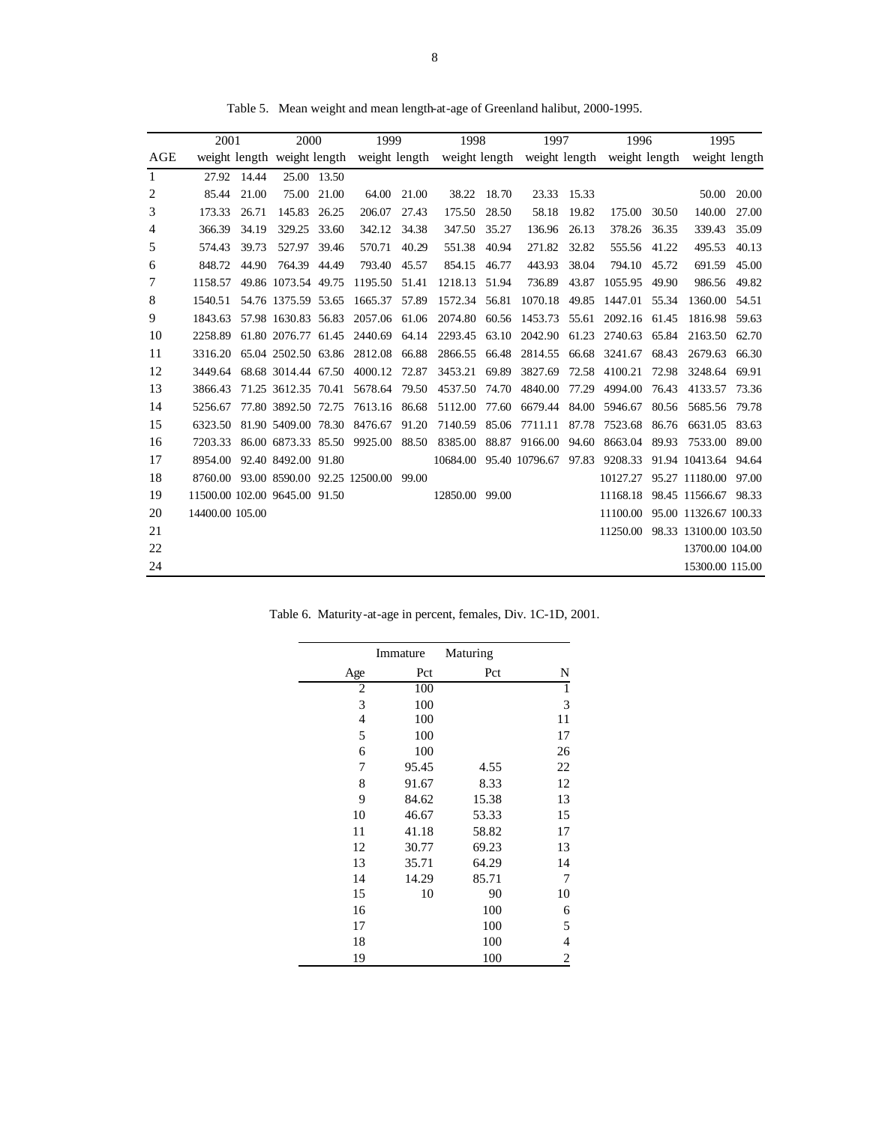|              | 2001                          |       | 2000                |       | 1999                               |       | 1998                                                                                              |       | 1997                  |       | 1996                                                       |       | 1995                           |       |
|--------------|-------------------------------|-------|---------------------|-------|------------------------------------|-------|---------------------------------------------------------------------------------------------------|-------|-----------------------|-------|------------------------------------------------------------|-------|--------------------------------|-------|
| AGE          |                               |       |                     |       |                                    |       | weight length weight length weight length weight length weight length weight length weight length |       |                       |       |                                                            |       |                                |       |
| $\mathbf{1}$ | 27.92                         | 14.44 | 25.00 13.50         |       |                                    |       |                                                                                                   |       |                       |       |                                                            |       |                                |       |
| 2            | 85.44                         | 21.00 | 75.00               | 21.00 | 64.00                              | 21.00 | 38.22                                                                                             | 18.70 | 23.33                 | 15.33 |                                                            |       | 50.00                          | 20.00 |
| 3            | 173.33                        | 26.71 | 145.83              | 26.25 | 206.07                             | 27.43 | 175.50                                                                                            | 28.50 | 58.18                 | 19.82 | 175.00                                                     | 30.50 | 140.00                         | 27.00 |
| 4            | 366.39                        | 34.19 | 329.25              | 33.60 | 342.12                             | 34.38 | 347.50                                                                                            | 35.27 | 136.96                | 26.13 | 378.26                                                     | 36.35 | 339.43                         | 35.09 |
| 5            | 574.43                        | 39.73 | 527.97              | 39.46 | 570.71                             | 40.29 |                                                                                                   | 40.94 | 271.82                | 32.82 | 555.56                                                     | 41.22 | 495.53                         | 40.13 |
| 6            | 848.72                        | 44.90 | 764.39              | 44.49 | 793.40                             | 45.57 | 854.15                                                                                            | 46.77 | 443.93                | 38.04 | 794.10                                                     | 45.72 | 691.59                         | 45.00 |
| 7            | 1158.57                       |       | 49.86 1073.54 49.75 |       | 1195.50                            | 51.41 | 1218.13                                                                                           | 51.94 | 736.89                | 43.87 | 1055.95                                                    | 49.90 | 986.56                         | 49.82 |
| 8            | 1540.51                       |       | 54.76 1375.59 53.65 |       | 1665.37                            | 57.89 | 1572.34 56.81                                                                                     |       | 1070.18               | 49.85 | 1447.01                                                    | 55.34 | 1360.00                        | 54.51 |
| 9            | 1843.63                       |       | 57.98 1630.83 56.83 |       | 2057.06 61.06                      |       | 2074.80 60.56                                                                                     |       |                       |       | 1453.73 55.61 2092.16 61.45                                |       | 1816.98 59.63                  |       |
| 10           | 2258.89                       |       |                     |       | 61.80 2076.77 61.45 2440.69 64.14  |       |                                                                                                   |       |                       |       | 2293.45 63.10 2042.90 61.23 2740.63 65.84                  |       | 2163.50 62.70                  |       |
| 11           | 3316.20                       |       |                     |       | 65.04 2502.50 63.86 2812.08 66.88  |       |                                                                                                   |       |                       |       | 2866.55 66.48 2814.55 66.68 3241.67 68.43                  |       | 2679.63                        | 66.30 |
| 12           | 3449.64                       |       | 68.68 3014.44 67.50 |       | 4000.12                            | 72.87 |                                                                                                   |       | 3453.21 69.89 3827.69 |       | 72.58 4100.21                                              | 72.98 | 3248.64                        | 69.91 |
| 13           | 3866.43                       |       |                     |       | 71.25 3612.35 70.41 5678.64 79.50  |       | 4537.50 74.70                                                                                     |       | 4840.00               | 77.29 | 4994.00                                                    | 76.43 | 4133.57 73.36                  |       |
| 14           | 5256.67                       |       | 77.80 3892.50 72.75 |       | 7613.16 86.68                      |       | 5112.00                                                                                           | 77.60 | 6679.44               | 84.00 | 5946.67                                                    | 80.56 | 5685.56                        | 79.78 |
| 15           | 6323.50                       |       | 81.90 5409.00 78.30 |       | 8476.67                            | 91.20 | 7140.59                                                                                           | 85.06 | 7711.11               | 87.78 | 7523.68                                                    | 86.76 | 6631.05                        | 83.63 |
| 16           | 7203.33                       |       |                     |       | 86.00 6873.33 85.50 9925.00        | 88.50 |                                                                                                   |       | 8385.00 88.87 9166.00 | 94.60 | 8663.04 89.93                                              |       | 7533.00 89.00                  |       |
| 17           | 8954.00                       |       | 92.40 8492.00 91.80 |       |                                    |       |                                                                                                   |       |                       |       | 10684.00 95.40 10796.67 97.83 9208.33 91.94 10413.64 94.64 |       |                                |       |
| 18           | 8760.00                       |       |                     |       | 93.00 8590.00 92.25 12500.00 99.00 |       |                                                                                                   |       |                       |       | 10127.27                                                   |       | 95.27 11180.00 97.00           |       |
| 19           | 11500.00 102.00 9645.00 91.50 |       |                     |       |                                    |       | 12850.00 99.00                                                                                    |       |                       |       |                                                            |       | 11168.18 98.45 11566.67 98.33  |       |
| 20           | 14400.00 105.00               |       |                     |       |                                    |       |                                                                                                   |       |                       |       |                                                            |       | 11100.00 95.00 11326.67 100.33 |       |
| 21           |                               |       |                     |       |                                    |       |                                                                                                   |       |                       |       |                                                            |       | 11250.00 98.33 13100.00 103.50 |       |
| 22           |                               |       |                     |       |                                    |       |                                                                                                   |       |                       |       |                                                            |       | 13700.00 104.00                |       |
| 24           |                               |       |                     |       |                                    |       |                                                                                                   |       |                       |       |                                                            |       | 15300.00 115.00                |       |

Table 5. Mean weight and mean length-at-age of Greenland halibut, 2000-1995.

Table 6. Maturity-at-age in percent, females, Div. 1C-1D, 2001.

|                          | Immature | Maturing |                |
|--------------------------|----------|----------|----------------|
| Age                      | Pct      | Pct      | N              |
| 2                        | 100      |          | $\mathbf{1}$   |
| 3                        | 100      |          | 3              |
| $\overline{\mathcal{L}}$ | 100      |          | 11             |
| 5                        | 100      |          | 17             |
| 6                        | 100      |          | 26             |
| 7                        | 95.45    | 4.55     | 22             |
| 8                        | 91.67    | 8.33     | 12             |
| 9                        | 84.62    | 15.38    | 13             |
| 10                       | 46.67    | 53.33    | 15             |
| 11                       | 41.18    | 58.82    | 17             |
| 12                       | 30.77    | 69.23    | 13             |
| 13                       | 35.71    | 64.29    | 14             |
| 14                       | 14.29    | 85.71    | 7              |
| 15                       | 10       | 90       | 10             |
| 16                       |          | 100      | 6              |
| 17                       |          | 100      | 5              |
| 18                       |          | 100      | 4              |
| 19                       |          | 100      | $\overline{c}$ |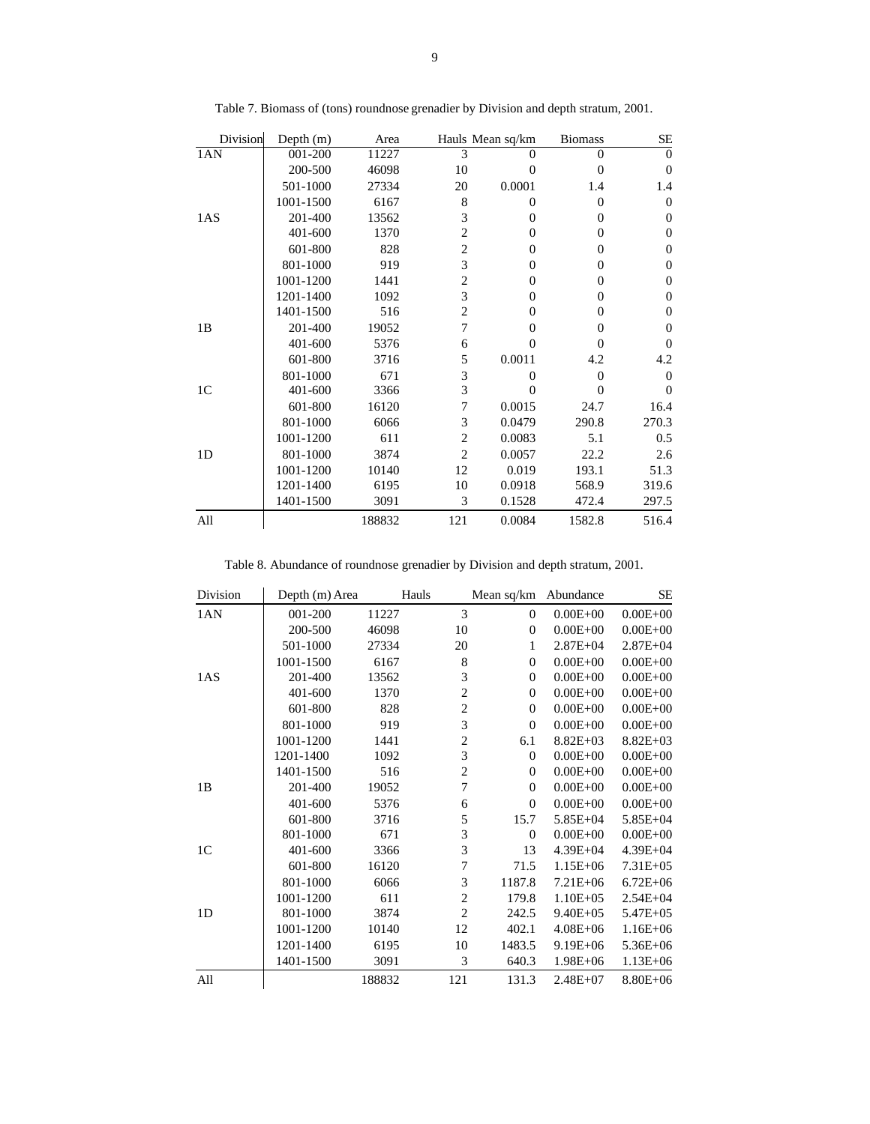| Division       | Depth (m) | Area   |                | Hauls Mean sq/km | <b>Biomass</b> | SE       |
|----------------|-----------|--------|----------------|------------------|----------------|----------|
| 1AN            | 001-200   | 11227  | 3              | $\Omega$         | $\Omega$       | $\Omega$ |
|                | 200-500   | 46098  | 10             | $\theta$         | $\theta$       | $\Omega$ |
|                | 501-1000  | 27334  | 20             | 0.0001           | 1.4            | 1.4      |
|                | 1001-1500 | 6167   | 8              | $\theta$         | $\Omega$       | $\Omega$ |
| 1AS            | 201-400   | 13562  | 3              | $\Omega$         | $\Omega$       | $\Omega$ |
|                | 401-600   | 1370   | $\mathbf{2}$   | $\Omega$         | 0              | $\Omega$ |
|                | 601-800   | 828    | $\mathbf{2}$   | $\Omega$         | 0              | $\Omega$ |
|                | 801-1000  | 919    | 3              | $\Omega$         | $\Omega$       | $\Omega$ |
|                | 1001-1200 | 1441   | $\overline{c}$ | $\Omega$         | 0              | $\Omega$ |
|                | 1201-1400 | 1092   | 3              | $\Omega$         | 0              | $\Omega$ |
|                | 1401-1500 | 516    | $\mathbf{2}$   | $\Omega$         | 0              | $\Omega$ |
| 1B             | 201-400   | 19052  | 7              | $\theta$         | 0              | $\Omega$ |
|                | 401-600   | 5376   | 6              | $\Omega$         | 0              | $\Omega$ |
|                | 601-800   | 3716   | 5              | 0.0011           | 4.2            | 4.2      |
|                | 801-1000  | 671    | 3              | $\Omega$         | 0              | $\Omega$ |
| 1 <sup>C</sup> | 401-600   | 3366   | 3              | 0                | 0              | $\Omega$ |
|                | 601-800   | 16120  | $\overline{7}$ | 0.0015           | 24.7           | 16.4     |
|                | 801-1000  | 6066   | 3              | 0.0479           | 290.8          | 270.3    |
|                | 1001-1200 | 611    | $\overline{2}$ | 0.0083           | 5.1            | 0.5      |
| 1 <sub>D</sub> | 801-1000  | 3874   | $\overline{2}$ | 0.0057           | 22.2           | 2.6      |
|                | 1001-1200 | 10140  | 12             | 0.019            | 193.1          | 51.3     |
|                | 1201-1400 | 6195   | 10             | 0.0918           | 568.9          | 319.6    |
|                | 1401-1500 | 3091   | 3              | 0.1528           | 472.4          | 297.5    |
| All            |           | 188832 | 121            | 0.0084           | 1582.8         | 516.4    |

Table 7. Biomass of (tons) roundnose grenadier by Division and depth stratum, 2001.

Table 8. Abundance of roundnose grenadier by Division and depth stratum, 2001.

| Division       | Depth (m) Area | Hauls  |                | Mean sq/km     | Abundance    | SE.          |
|----------------|----------------|--------|----------------|----------------|--------------|--------------|
| 1AN            | 001-200        | 11227  | 3              | $\mathbf{0}$   | $0.00E + 00$ | $0.00E + 00$ |
|                | 200-500        | 46098  | 10             | $\theta$       | $0.00E + 00$ | $0.00E + 00$ |
|                | 501-1000       | 27334  | 20             | 1              | $2.87E + 04$ | $2.87E + 04$ |
|                | 1001-1500      | 6167   | 8              | $\mathbf{0}$   | $0.00E + 00$ | $0.00E + 00$ |
| 1AS            | 201-400        | 13562  | 3              | $\theta$       | $0.00E + 00$ | $0.00E + 00$ |
|                | 401-600        | 1370   | $\overline{c}$ | $\mathbf{0}$   | $0.00E + 00$ | $0.00E + 00$ |
|                | 601-800        | 828    | $\overline{c}$ | $\theta$       | $0.00E + 00$ | $0.00E + 00$ |
|                | 801-1000       | 919    | 3              | $\overline{0}$ | $0.00E + 00$ | $0.00E + 00$ |
|                | 1001-1200      | 1441   | $\overline{c}$ | 6.1            | $8.82E + 03$ | $8.82E + 03$ |
|                | 1201-1400      | 1092   | 3              | $\theta$       | $0.00E + 00$ | $0.00E + 00$ |
|                | 1401-1500      | 516    | $\overline{c}$ | $\mathbf{0}$   | $0.00E + 00$ | $0.00E + 00$ |
| 1B             | 201-400        | 19052  | $\tau$         | $\overline{0}$ | $0.00E + 00$ | $0.00E + 00$ |
|                | 401-600        | 5376   | 6              | $\overline{0}$ | $0.00E + 00$ | $0.00E + 00$ |
|                | 601-800        | 3716   | 5              | 15.7           | $5.85E + 04$ | $5.85E + 04$ |
|                | 801-1000       | 671    | 3              | $\mathbf{0}$   | $0.00E + 00$ | $0.00E + 00$ |
| 1 <sup>C</sup> | 401-600        | 3366   | 3              | 13             | $4.39E + 04$ | $4.39E + 04$ |
|                | 601-800        | 16120  | $\overline{7}$ | 71.5           | $1.15E + 06$ | $7.31E + 05$ |
|                | 801-1000       | 6066   | 3              | 1187.8         | $7.21E + 06$ | $6.72E + 06$ |
|                | 1001-1200      | 611    | $\overline{c}$ | 179.8          | $1.10E + 05$ | $2.54E + 04$ |
| 1 <sub>D</sub> | 801-1000       | 3874   | $\overline{c}$ | 242.5          | $9.40E + 05$ | $5.47E + 05$ |
|                | 1001-1200      | 10140  | 12             | 402.1          | $4.08E + 06$ | $1.16E + 06$ |
|                | 1201-1400      | 6195   | 10             | 1483.5         | $9.19E + 06$ | $5.36E + 06$ |
|                | 1401-1500      | 3091   | 3              | 640.3          | $1.98E + 06$ | $1.13E + 06$ |
| All            |                | 188832 | 121            | 131.3          | $2.48E + 07$ | $8.80E + 06$ |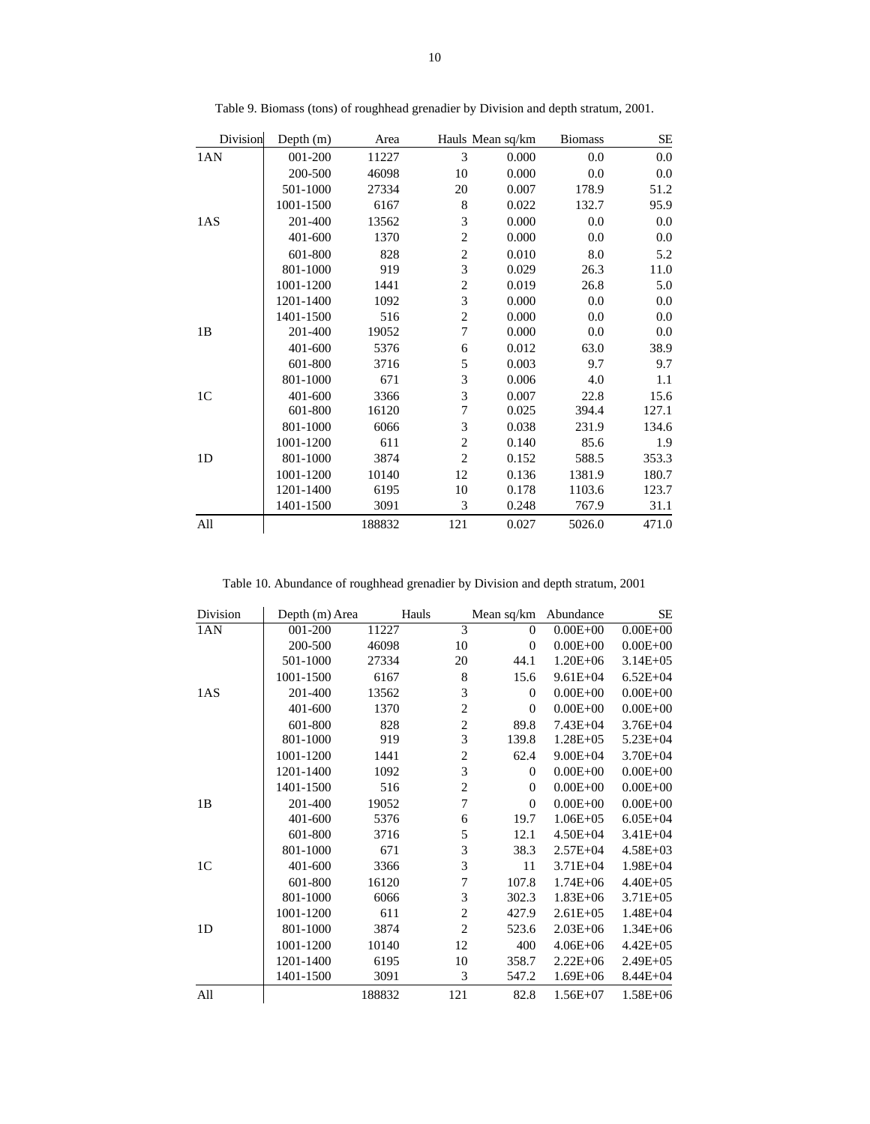| Division       | Depth $(m)$ | Area   |                | Hauls Mean sq/km | <b>Biomass</b> | SE    |
|----------------|-------------|--------|----------------|------------------|----------------|-------|
| 1AN            | 001-200     | 11227  | 3              | 0.000            | 0.0            | 0.0   |
|                | 200-500     | 46098  | 10             | 0.000            | 0.0            | 0.0   |
|                | 501-1000    | 27334  | 20             | 0.007            | 178.9          | 51.2  |
|                | 1001-1500   | 6167   | $\,8\,$        | 0.022            | 132.7          | 95.9  |
| 1AS            | 201-400     | 13562  | 3              | 0.000            | 0.0            | 0.0   |
|                | 401-600     | 1370   | $\sqrt{2}$     | 0.000            | 0.0            | 0.0   |
|                | 601-800     | 828    | $\sqrt{2}$     | 0.010            | 8.0            | 5.2   |
|                | 801-1000    | 919    | $\overline{3}$ | 0.029            | 26.3           | 11.0  |
|                | 1001-1200   | 1441   | $\overline{c}$ | 0.019            | 26.8           | 5.0   |
|                | 1201-1400   | 1092   | 3              | 0.000            | 0.0            | 0.0   |
|                | 1401-1500   | 516    | $\overline{c}$ | 0.000            | 0.0            | 0.0   |
| 1B             | 201-400     | 19052  | 7              | 0.000            | 0.0            | 0.0   |
|                | 401-600     | 5376   | 6              | 0.012            | 63.0           | 38.9  |
|                | 601-800     | 3716   | 5              | 0.003            | 9.7            | 9.7   |
|                | 801-1000    | 671    | 3              | 0.006            | 4.0            | 1.1   |
| 1 <sup>C</sup> | 401-600     | 3366   | 3              | 0.007            | 22.8           | 15.6  |
|                | 601-800     | 16120  | 7              | 0.025            | 394.4          | 127.1 |
|                | 801-1000    | 6066   | 3              | 0.038            | 231.9          | 134.6 |
|                | 1001-1200   | 611    | $\overline{c}$ | 0.140            | 85.6           | 1.9   |
| 1 <sub>D</sub> | 801-1000    | 3874   | $\overline{c}$ | 0.152            | 588.5          | 353.3 |
|                | 1001-1200   | 10140  | 12             | 0.136            | 1381.9         | 180.7 |
|                | 1201-1400   | 6195   | 10             | 0.178            | 1103.6         | 123.7 |
|                | 1401-1500   | 3091   | 3              | 0.248            | 767.9          | 31.1  |
| All            |             | 188832 | 121            | 0.027            | 5026.0         | 471.0 |

Table 9. Biomass (tons) of roughhead grenadier by Division and depth stratum, 2001.

Table 10. Abundance of roughhead grenadier by Division and depth stratum, 2001

| Division       | Depth (m) Area | Hauls  |                | Mean sq/km   | Abundance     | SE           |
|----------------|----------------|--------|----------------|--------------|---------------|--------------|
| 1AN            | 001-200        | 11227  | 3              | $\Omega$     | $0.00E + 00$  | $0.00E + 00$ |
|                | 200-500        | 46098  | 10             | $\mathbf{0}$ | $0.00E + 00$  | $0.00E + 00$ |
|                | 501-1000       | 27334  | 20             | 44.1         | $1.20E + 06$  | $3.14E + 05$ |
|                | 1001-1500      | 6167   | $\,$ 8 $\,$    | 15.6         | $9.61E + 04$  | $6.52E + 04$ |
| 1AS            | 201-400        | 13562  | 3              | $\mathbf{0}$ | $0.00E + 00$  | $0.00E + 00$ |
|                | 401-600        | 1370   | $\sqrt{2}$     | $\theta$     | $0.00E + 00$  | $0.00E + 00$ |
|                | 601-800        | 828    | $\overline{c}$ | 89.8         | $7.43E + 04$  | $3.76E + 04$ |
|                | 801-1000       | 919    | $\overline{3}$ | 139.8        | $1.28E + 0.5$ | $5.23E + 04$ |
|                | 1001-1200      | 1441   | $\sqrt{2}$     | 62.4         | $9.00E + 04$  | $3.70E + 04$ |
|                | 1201-1400      | 1092   | 3              | $\theta$     | $0.00E + 00$  | $0.00E + 00$ |
|                | 1401-1500      | 516    | $\overline{c}$ | $\theta$     | $0.00E + 00$  | $0.00E + 00$ |
| 1B             | 201-400        | 19052  | $\tau$         | $\theta$     | $0.00E + 00$  | $0.00E + 00$ |
|                | 401-600        | 5376   | 6              | 19.7         | $1.06E + 05$  | $6.05E + 04$ |
|                | 601-800        | 3716   | 5              | 12.1         | $4.50E + 04$  | $3.41E + 04$ |
|                | 801-1000       | 671    | 3              | 38.3         | $2.57E + 04$  | $4.58E + 03$ |
| 1 <sup>C</sup> | 401-600        | 3366   | 3              | 11           | $3.71E + 04$  | $1.98E + 04$ |
|                | 601-800        | 16120  | 7              | 107.8        | $1.74E + 06$  | $4.40E + 05$ |
|                | 801-1000       | 6066   | 3              | 302.3        | $1.83E + 06$  | $3.71E + 05$ |
|                | 1001-1200      | 611    | $\overline{c}$ | 427.9        | $2.61E + 05$  | $1.48E + 04$ |
| 1 <sub>D</sub> | 801-1000       | 3874   | $\overline{2}$ | 523.6        | $2.03E + 06$  | $1.34E + 06$ |
|                | 1001-1200      | 10140  | 12             | 400          | $4.06E + 06$  | $4.42E + 05$ |
|                | 1201-1400      | 6195   | 10             | 358.7        | $2.22E + 06$  | $2.49E + 05$ |
|                | 1401-1500      | 3091   | 3              | 547.2        | $1.69E + 06$  | $8.44E + 04$ |
| All            |                | 188832 | 121            | 82.8         | $1.56E+07$    | $1.58E + 06$ |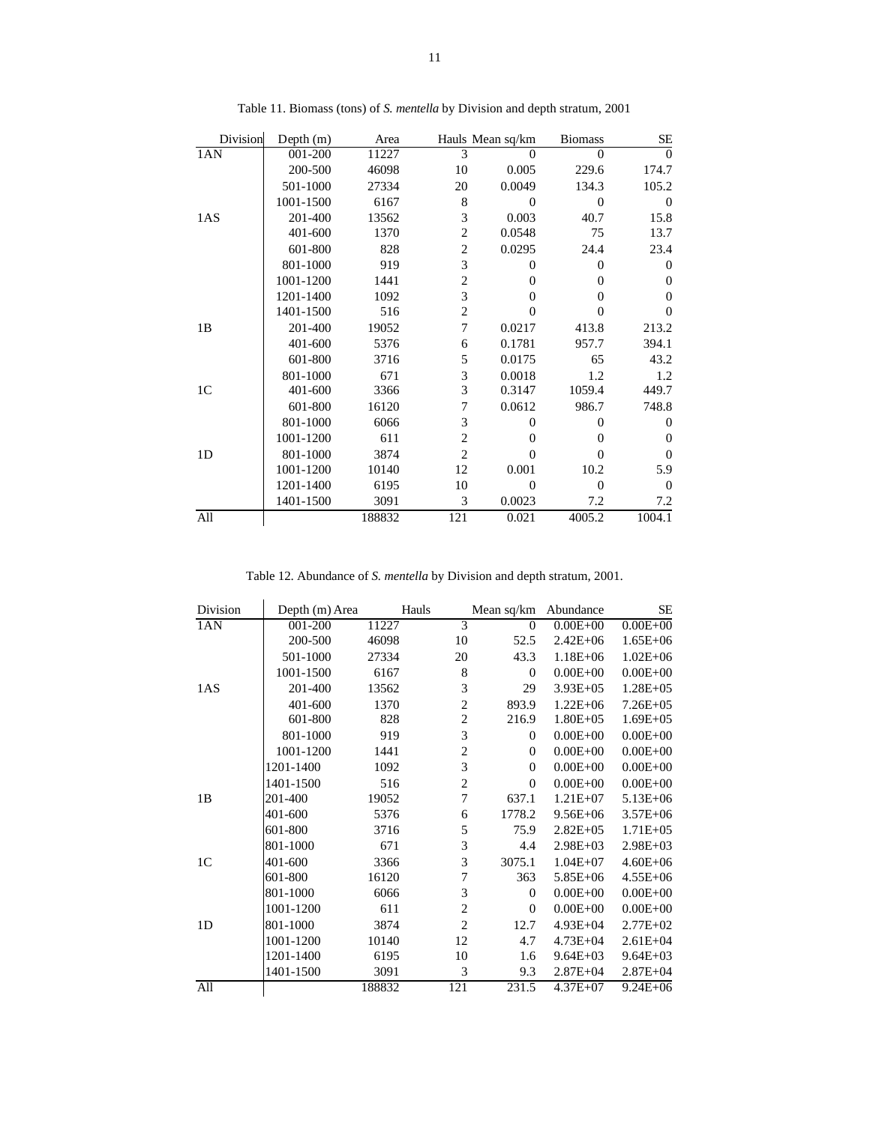| Division       | Depth (m) | Area   |                | Hauls Mean sq/km | <b>Biomass</b> | SE       |
|----------------|-----------|--------|----------------|------------------|----------------|----------|
| 1AN            | 001-200   | 11227  | 3              | 0                | $\Omega$       | $\Omega$ |
|                | 200-500   | 46098  | 10             | 0.005            | 229.6          | 174.7    |
|                | 501-1000  | 27334  | 20             | 0.0049           | 134.3          | 105.2    |
|                | 1001-1500 | 6167   | 8              | $\Omega$         | $\Omega$       | $\Omega$ |
| 1AS            | 201-400   | 13562  | 3              | 0.003            | 40.7           | 15.8     |
|                | 401-600   | 1370   | $\overline{c}$ | 0.0548           | 75             | 13.7     |
|                | 601-800   | 828    | $\overline{c}$ | 0.0295           | 24.4           | 23.4     |
|                | 801-1000  | 919    | 3              | 0                | $\Omega$       | $\Omega$ |
|                | 1001-1200 | 1441   | $\overline{c}$ | 0                | $\Omega$       | $\Omega$ |
|                | 1201-1400 | 1092   | 3              | 0                | $\Omega$       | $\Omega$ |
|                | 1401-1500 | 516    | $\overline{c}$ | 0                | 0              | $\Omega$ |
| 1B             | 201-400   | 19052  | 7              | 0.0217           | 413.8          | 213.2    |
|                | 401-600   | 5376   | 6              | 0.1781           | 957.7          | 394.1    |
|                | 601-800   | 3716   | 5              | 0.0175           | 65             | 43.2     |
|                | 801-1000  | 671    | 3              | 0.0018           | 1.2            | 1.2      |
| 1 <sup>C</sup> | 401-600   | 3366   | 3              | 0.3147           | 1059.4         | 449.7    |
|                | 601-800   | 16120  | 7              | 0.0612           | 986.7          | 748.8    |
|                | 801-1000  | 6066   | 3              | 0                | $\Omega$       | $\Omega$ |
|                | 1001-1200 | 611    | $\overline{c}$ | 0                | $\Omega$       | $\Omega$ |
| 1 <sub>D</sub> | 801-1000  | 3874   | $\overline{2}$ | 0                | $\Omega$       | $\Omega$ |
|                | 1001-1200 | 10140  | 12             | 0.001            | 10.2           | 5.9      |
|                | 1201-1400 | 6195   | 10             | $\theta$         | $\Omega$       | $\Omega$ |
|                | 1401-1500 | 3091   | 3              | 0.0023           | 7.2            | 7.2      |
| All            |           | 188832 | 121            | 0.021            | 4005.2         | 1004.1   |

Table 11. Biomass (tons) of *S. mentella* by Division and depth stratum, 2001

Table 12. Abundance of *S. mentella* by Division and depth stratum, 2001.

| Division       | Depth (m) Area | Hauls  |                | Mean sq/km     | Abundance     | <b>SE</b>     |
|----------------|----------------|--------|----------------|----------------|---------------|---------------|
| 1AN            | 001-200        | 11227  | $\overline{3}$ | $\Omega$       | $0.00E + 00$  | $0.00E + 00$  |
|                | 200-500        | 46098  | 10             | 52.5           | $2.42E + 06$  | $1.65E + 06$  |
|                | 501-1000       | 27334  | 20             | 43.3           | $1.18E + 06$  | $1.02E + 06$  |
|                | 1001-1500      | 6167   | $\,$ 8 $\,$    | $\overline{0}$ | $0.00E + 00$  | $0.00E + 00$  |
| 1AS            | 201-400        | 13562  | 3              | 29             | $3.93E + 05$  | $1.28E + 05$  |
|                | 401-600        | 1370   | $\sqrt{2}$     | 893.9          | $1.22E + 06$  | $7.26E + 05$  |
|                | 601-800        | 828    | $\overline{c}$ | 216.9          | $1.80E + 0.5$ | $1.69E + 05$  |
|                | 801-1000       | 919    | 3              | $\mathbf{0}$   | $0.00E + 00$  | $0.00E + 00$  |
|                | 1001-1200      | 1441   | $\mathbf{2}$   | $\mathbf{0}$   | $0.00E + 00$  | $0.00E + 00$  |
|                | 1201-1400      | 1092   | 3              | $\mathbf{0}$   | $0.00E + 00$  | $0.00E + 00$  |
|                | 1401-1500      | 516    | $\sqrt{2}$     | $\overline{0}$ | $0.00E + 00$  | $0.00E + 00$  |
| 1B             | 201-400        | 19052  | 7              | 637.1          | $1.21E + 07$  | $5.13E + 06$  |
|                | 401-600        | 5376   | 6              | 1778.2         | $9.56E + 06$  | $3.57E + 06$  |
|                | 601-800        | 3716   | 5              | 75.9           | $2.82E + 0.5$ | $1.71E + 0.5$ |
|                | 801-1000       | 671    | 3              | 4.4            | $2.98E + 03$  | $2.98E + 03$  |
| 1 <sup>C</sup> | 401-600        | 3366   | 3              | 3075.1         | $1.04E + 07$  | $4.60E + 06$  |
|                | 601-800        | 16120  | 7              | 363            | $5.85E + 06$  | $4.55E + 06$  |
|                | 801-1000       | 6066   | $\mathfrak{Z}$ | $\mathbf{0}$   | $0.00E + 00$  | $0.00E + 00$  |
|                | 1001-1200      | 611    | $\mathbf{2}$   | $\mathbf{0}$   | $0.00E + 00$  | $0.00E + 00$  |
| 1 <sub>D</sub> | 801-1000       | 3874   | $\mathbf{2}$   | 12.7           | $4.93E + 04$  | $2.77E + 02$  |
|                | 1001-1200      | 10140  | 12             | 4.7            | $4.73E + 04$  | $2.61E + 04$  |
|                | 1201-1400      | 6195   | 10             | 1.6            | $9.64E + 03$  | $9.64E + 03$  |
|                | 1401-1500      | 3091   | 3              | 9.3            | $2.87E + 04$  | $2.87E + 04$  |
| All            |                | 188832 | 121            | 231.5          | $4.37E + 07$  | $9.24E + 06$  |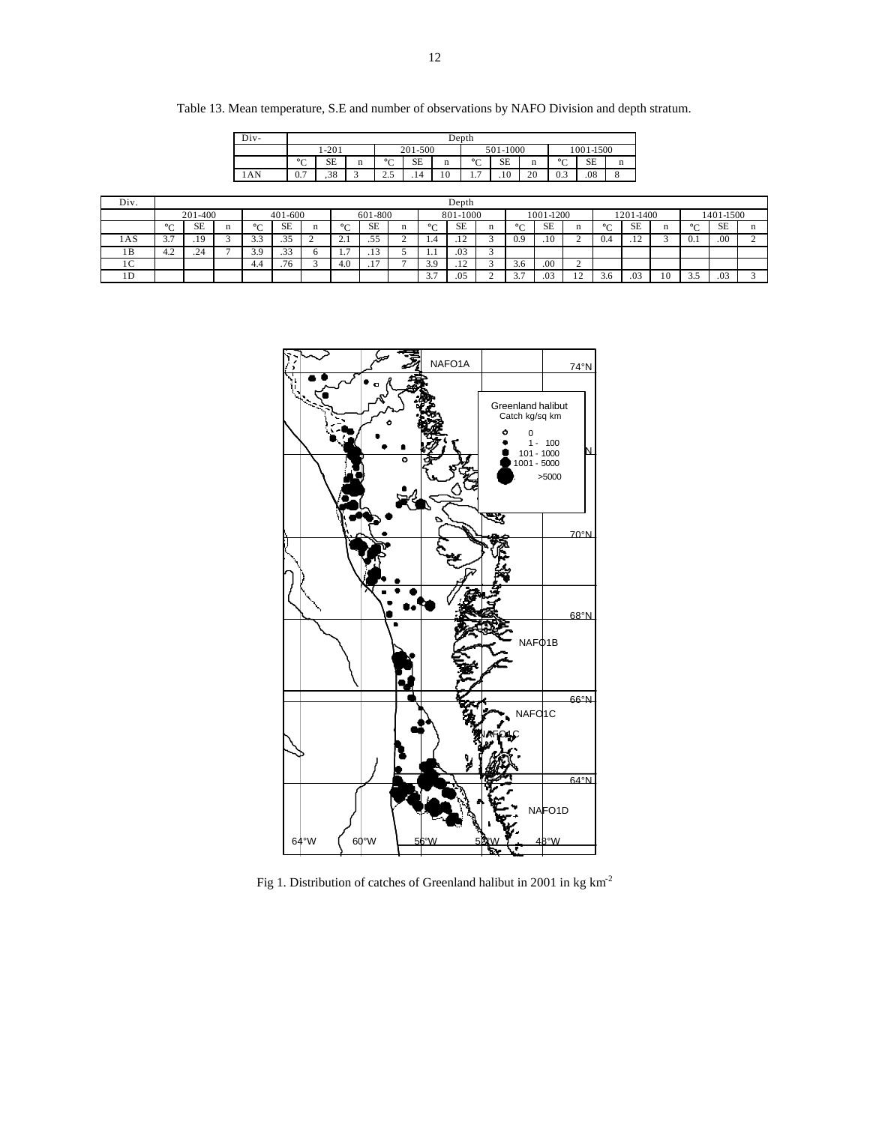| Div- |         |        |        |              |                                  |    | Depth        |     |    |          |           |   |
|------|---------|--------|--------|--------------|----------------------------------|----|--------------|-----|----|----------|-----------|---|
|      |         | l -201 |        |              | 501-1000<br>201-500<br>1001-1500 |    |              |     |    |          |           |   |
|      | $\circ$ | SE     | n      | $\circ$<br>◡ | <b>SE</b>                        | n  | $\circ$<br>◡ | SE  | n  | $\circ$  | <b>SE</b> | n |
| 1AN  | 0.7     | .38    | $\sim$ | ر            | .14                              | 10 | -<br>        | .10 | 20 | $_{0.3}$ | .08       | o |

| Div.          |               | Depth     |             |                |                |             |           |                   |             |             |                                  |   |                         |           |                     |                |                   |    |                                 |           |  |
|---------------|---------------|-----------|-------------|----------------|----------------|-------------|-----------|-------------------|-------------|-------------|----------------------------------|---|-------------------------|-----------|---------------------|----------------|-------------------|----|---------------------------------|-----------|--|
|               |               | 201-400   |             | $401 - 600$    | 601-800        |             |           | 801-1000          |             | 1001-1200   |                                  |   | 1201-1400               |           | 1401-1500           |                |                   |    |                                 |           |  |
|               | $\Omega$<br>◡ | <b>SE</b> | $\mathbf n$ | $\circ$        | <b>SE</b>      | $\mathbf n$ | $\circ$   | <b>SE</b>         | $\mathbf n$ | $\circ$     | <b>SE</b>                        | n | $\circ$                 | <b>SE</b> | n                   | $\circ$        | <b>SE</b>         | n  | $\circ$                         | <b>SE</b> |  |
| 1AS           | $\sim$<br>.   | 10<br>.   |             | $\sim$<br>ر. ر | 35<br>ن ر      | ∼           | $\sim$    | ن بي              | ∼           | 1.4         | 1 <sub>2</sub><br>$\cdot$ $\sim$ |   | 0.9                     | .10       |                     | 0.4            | $1^{\wedge}$<br>. |    | 0.1                             | .00       |  |
| 1B            | 4.2           | .24       |             | 3 Q<br>د د     | $\sim$<br>ر د. | O           | $\cdot$ . | .                 |             |             | .03                              |   |                         |           |                     |                |                   |    |                                 |           |  |
| $\sim$<br>1 U |               |           |             | 4.4            | .76            |             | 4.0       | $\sim$<br>$\cdot$ |             | 3.9         | $1^{\circ}$<br>.14               |   | 3.6                     | .00.      | ∼                   |                |                   |    |                                 |           |  |
| 1D            |               |           |             |                |                |             |           |                   |             | $\sim$<br>. | .05                              |   | $\sim$ $\sim$<br>$\sim$ | .03       | ຳ<br>$\overline{1}$ | $\sim$<br>-5.0 | .03               | 10 | $\sim$ $\epsilon$<br>35<br>ر. ر | .03       |  |



Fig 1. Distribution of catches of Greenland halibut in 2001 in kg  $\rm km^{\text{-}2}$ 

# Table 13. Mean temperature, S.E and number of observations by NAFO Division and depth stratum.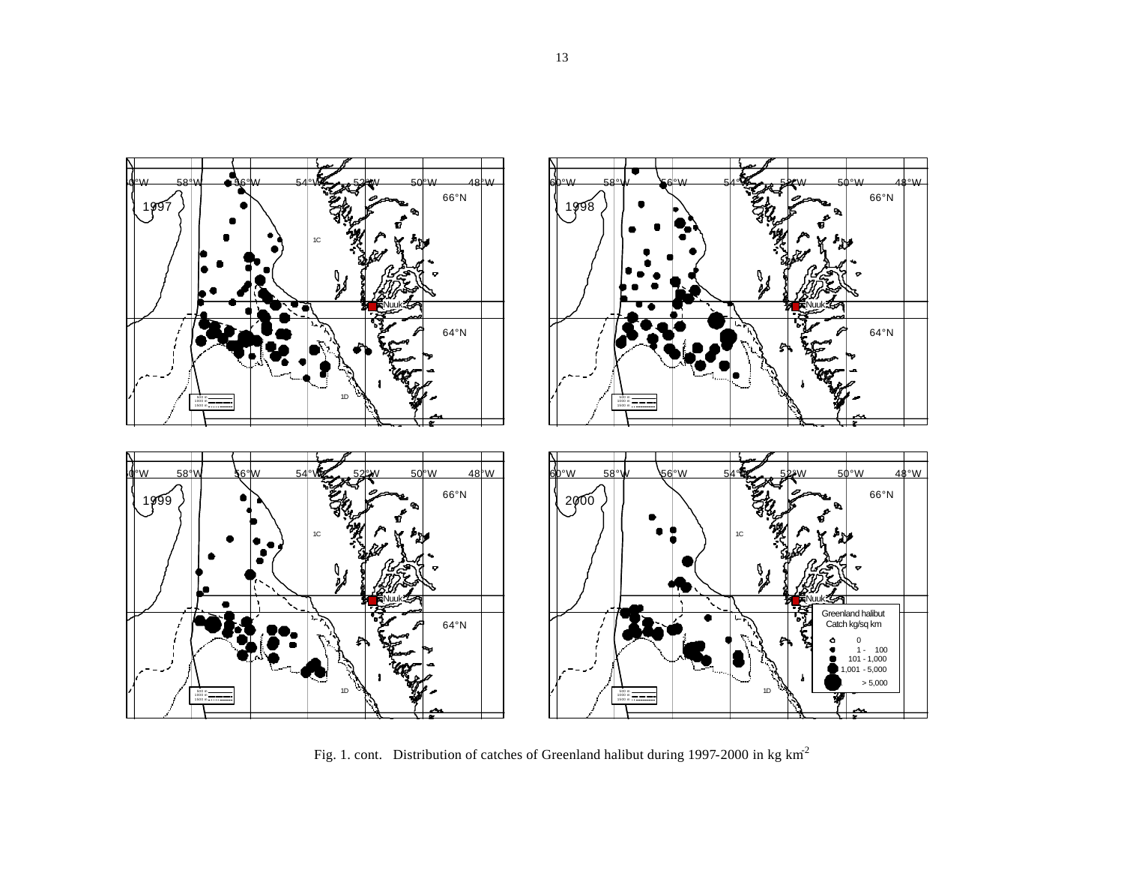

Fig. 1. cont. Distribution of catches of Greenland halibut during 1997-2000 in kg km<sup>2</sup>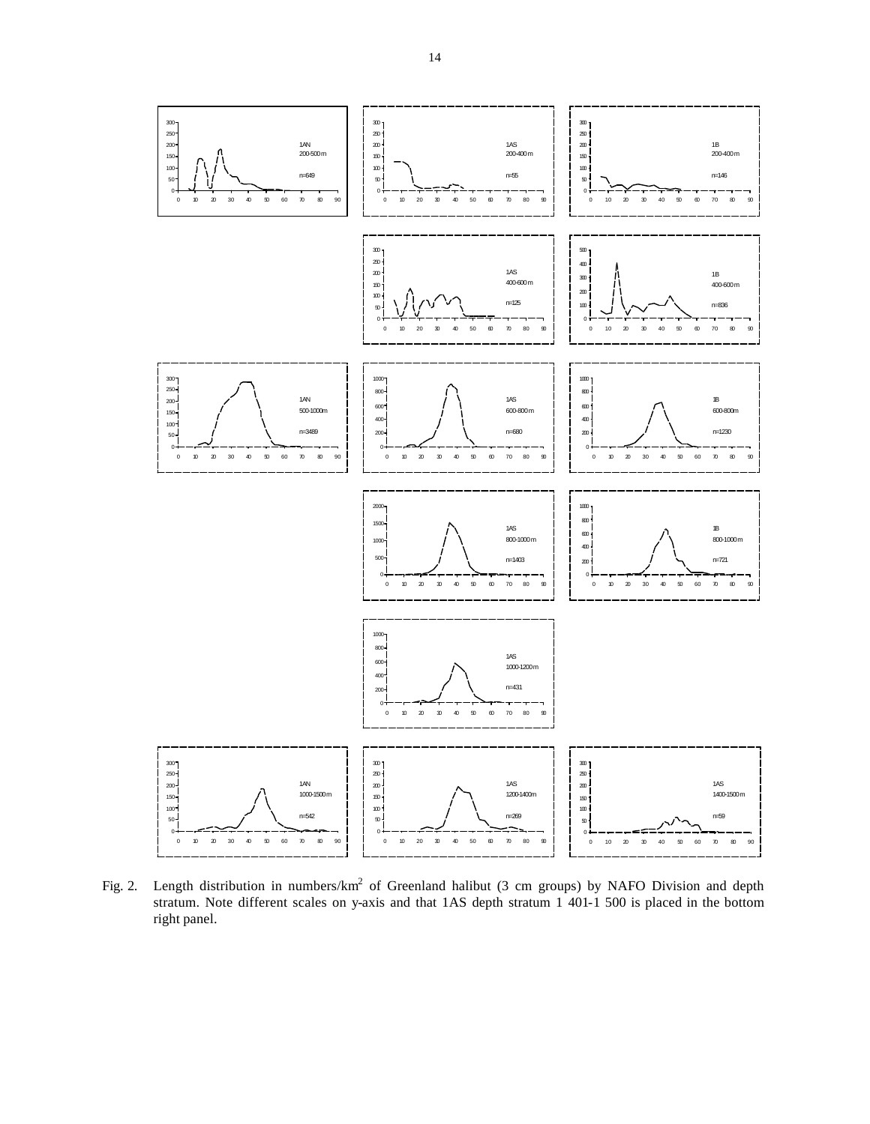

Fig. 2. Length distribution in numbers/ $km^2$  of Greenland halibut (3 cm groups) by NAFO Division and depth stratum. Note different scales on y-axis and that 1AS depth stratum 1 401-1 500 is placed in the bottom right panel.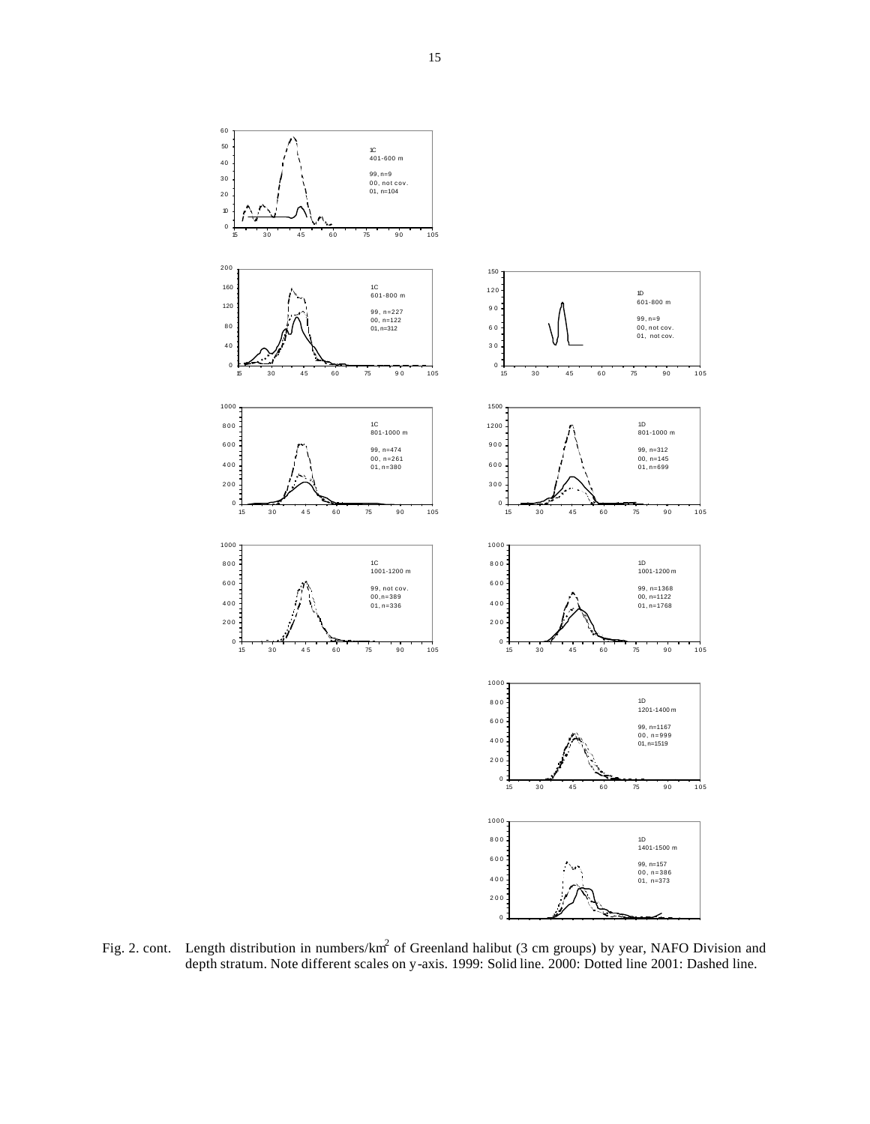

Fig. 2. cont. Length distribution in numbers/km<sup>2</sup> of Greenland halibut (3 cm groups) by year, NAFO Division and depth stratum. Note different scales on y-axis. 1999: Solid line. 2000: Dotted line 2001: Dashed line.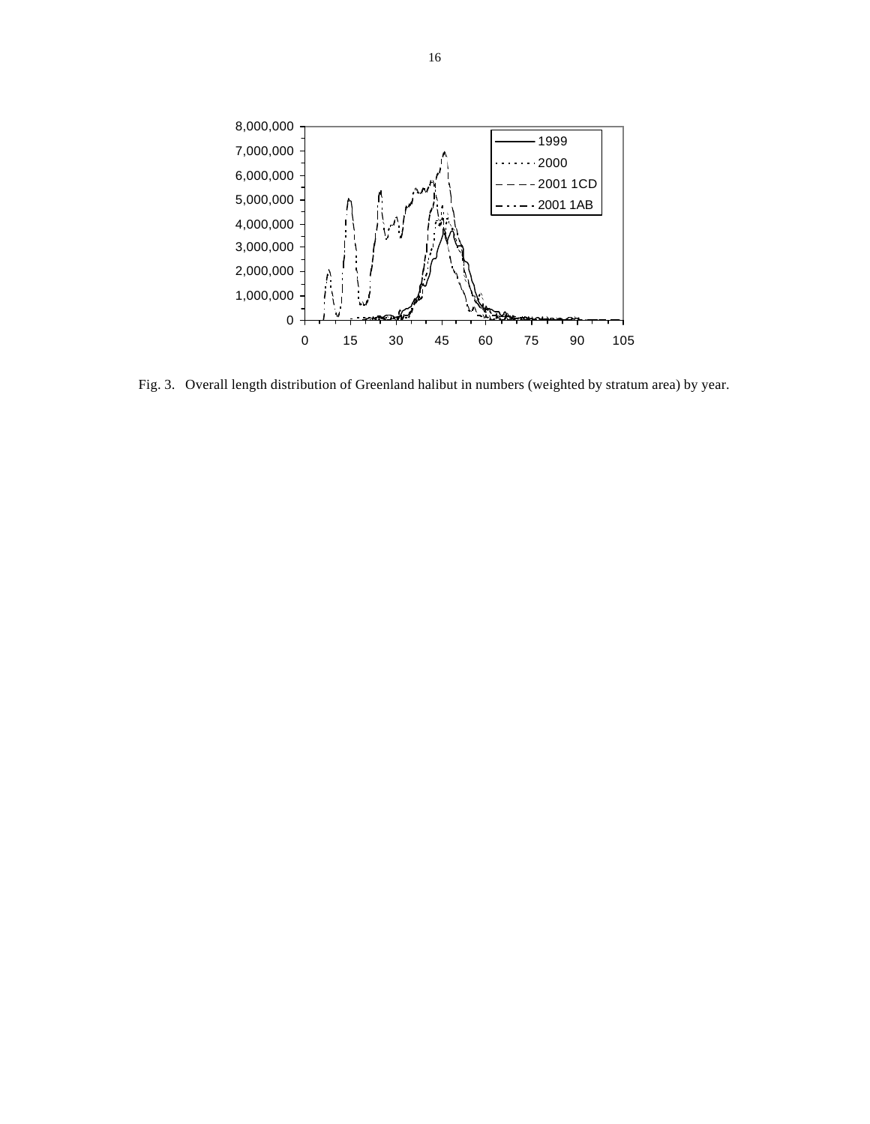

Fig. 3. Overall length distribution of Greenland halibut in numbers (weighted by stratum area) by year.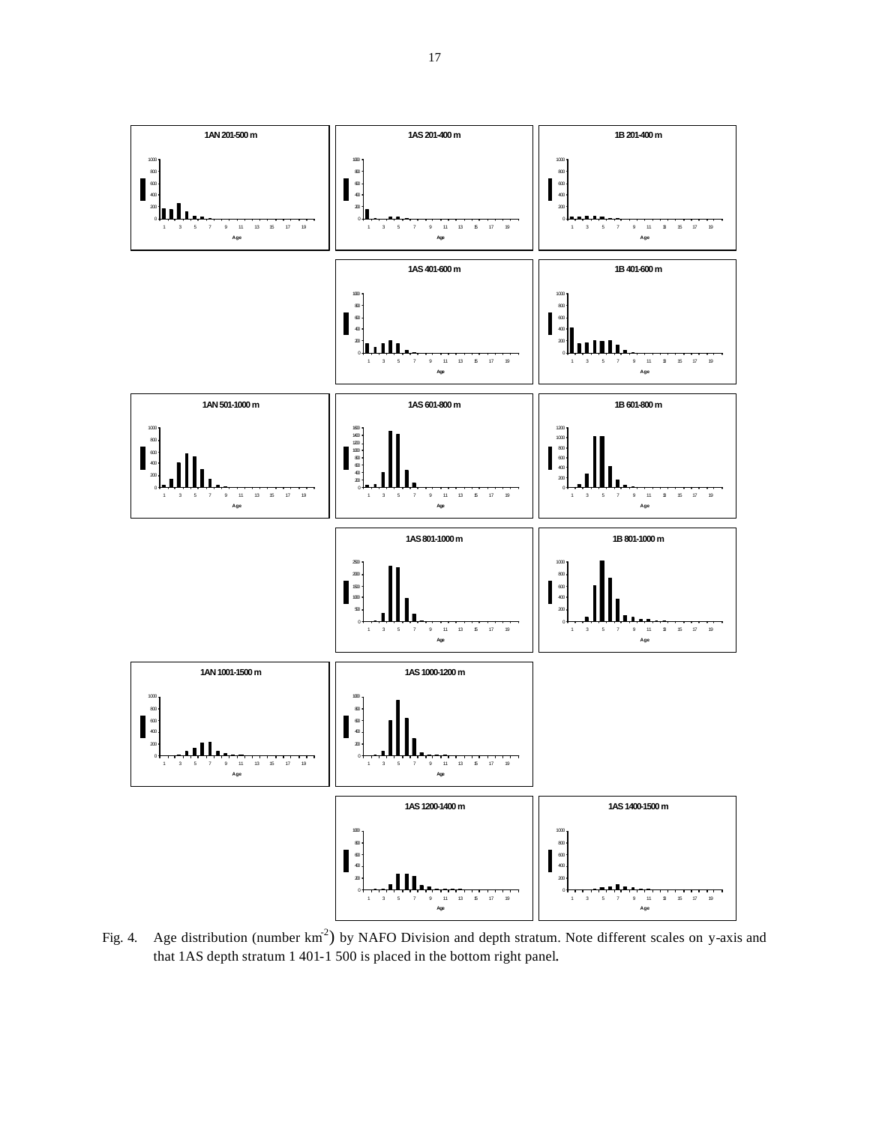

Fig. 4. Age distribution (number  $km^2$ ) by NAFO Division and depth stratum. Note different scales on y-axis and that 1AS depth stratum 1 401-1 500 is placed in the bottom right panel.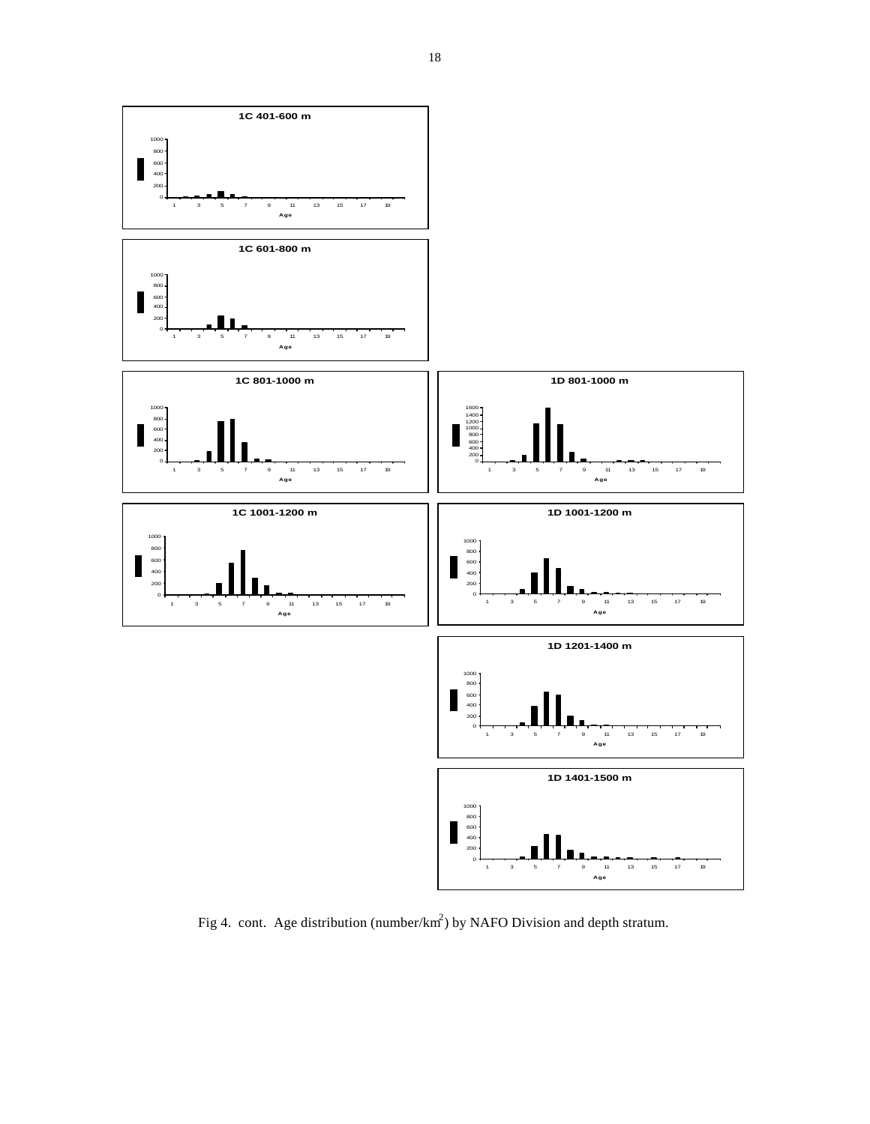

Fig 4. cont. Age distribution (number/km<sup>2</sup>) by NAFO Division and depth stratum.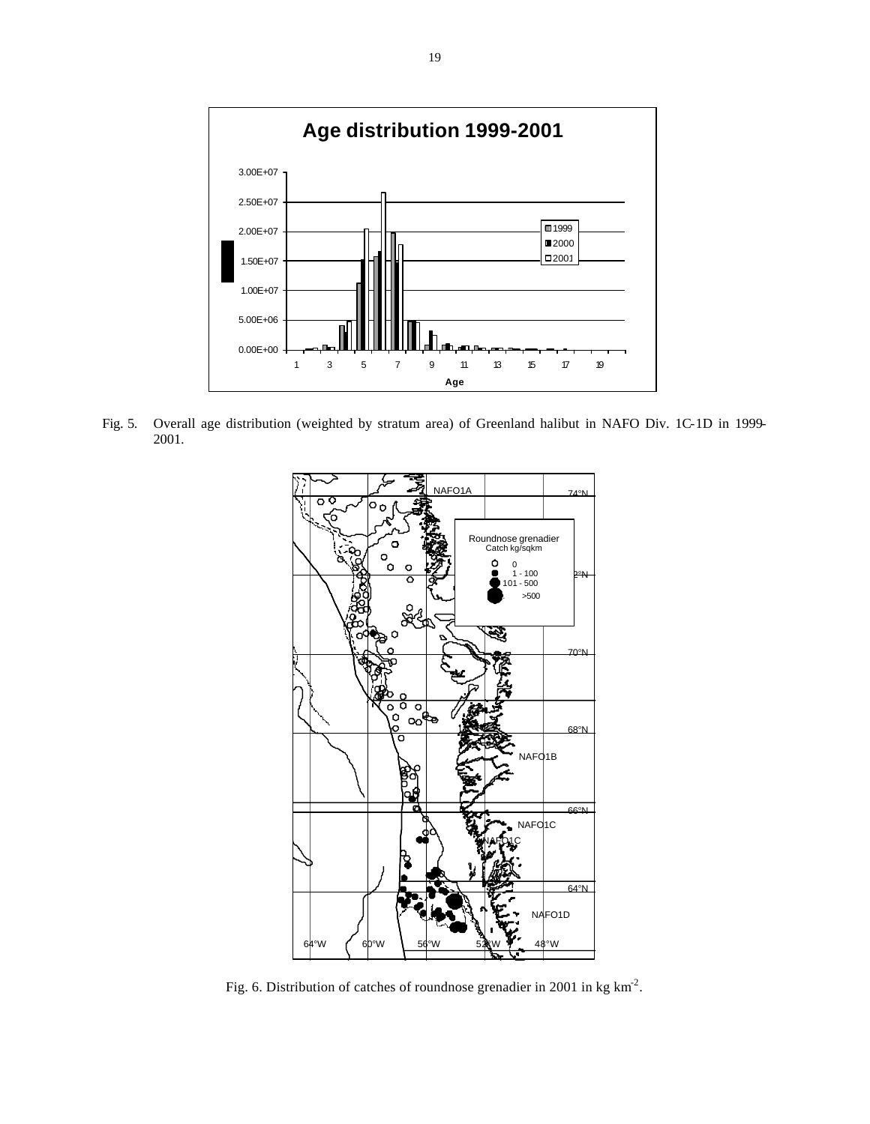

Fig. 5. Overall age distribution (weighted by stratum area) of Greenland halibut in NAFO Div. 1C-1D in 1999- 2001.



Fig. 6. Distribution of catches of roundnose grenadier in 2001 in kg  $\text{km}^2$ .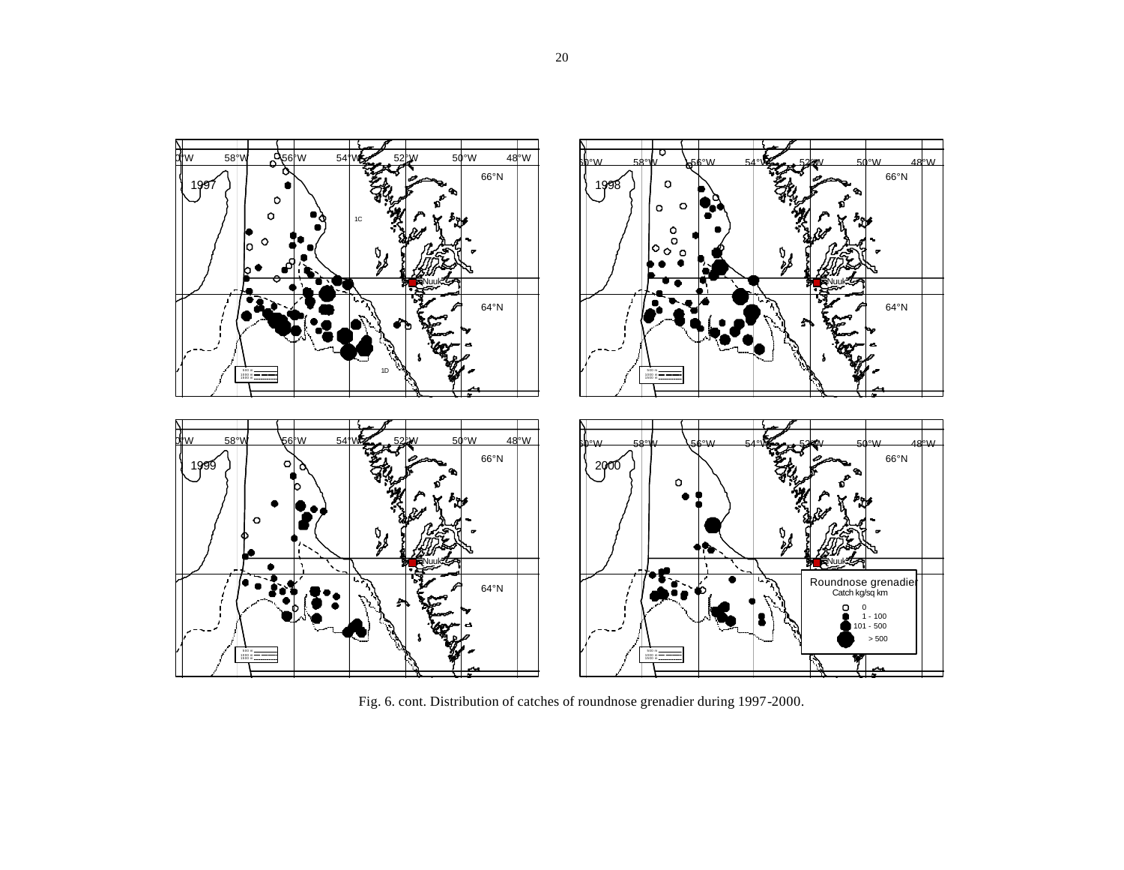

Fig. 6. cont. Distribution of catches of roundnose grenadier during 1997-2000.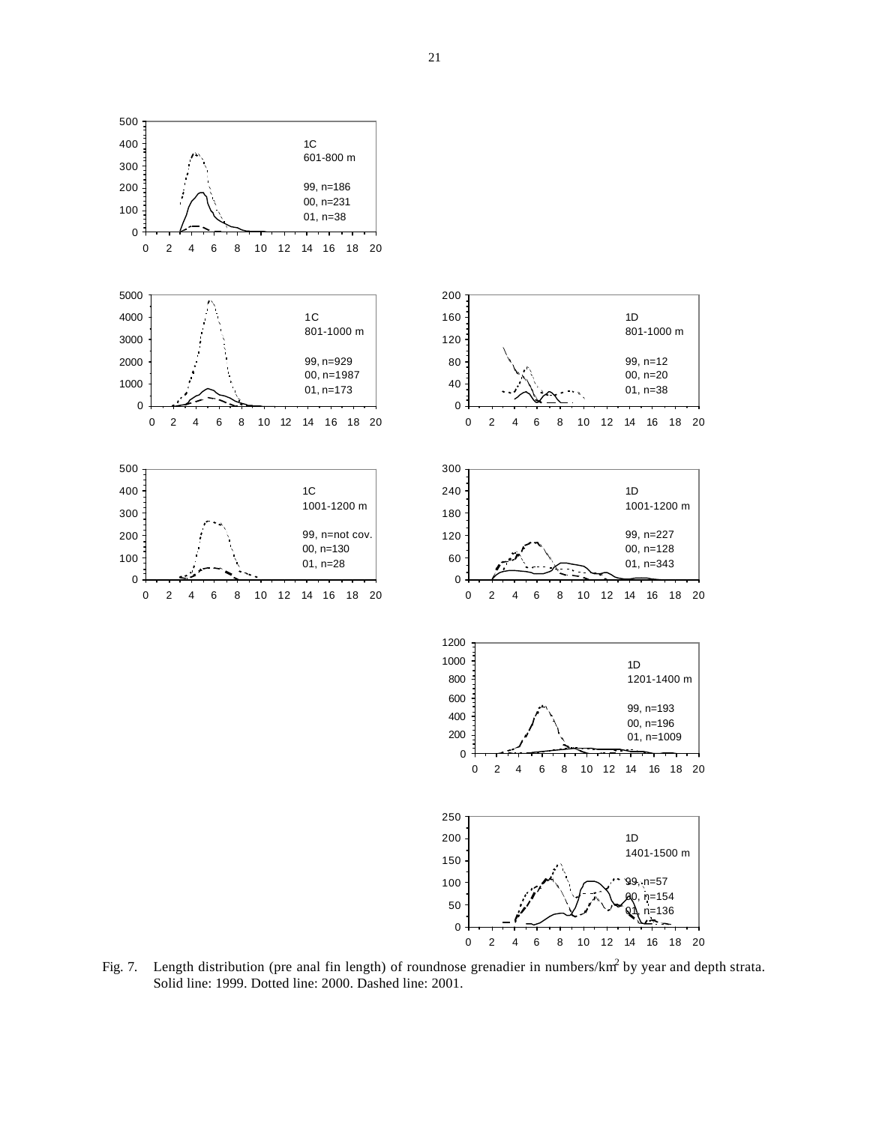

Fig. 7. Length distribution (pre anal fin length) of roundnose grenadier in numbers/km<sup>2</sup> by year and depth strata. Solid line: 1999. Dotted line: 2000. Dashed line: 2001.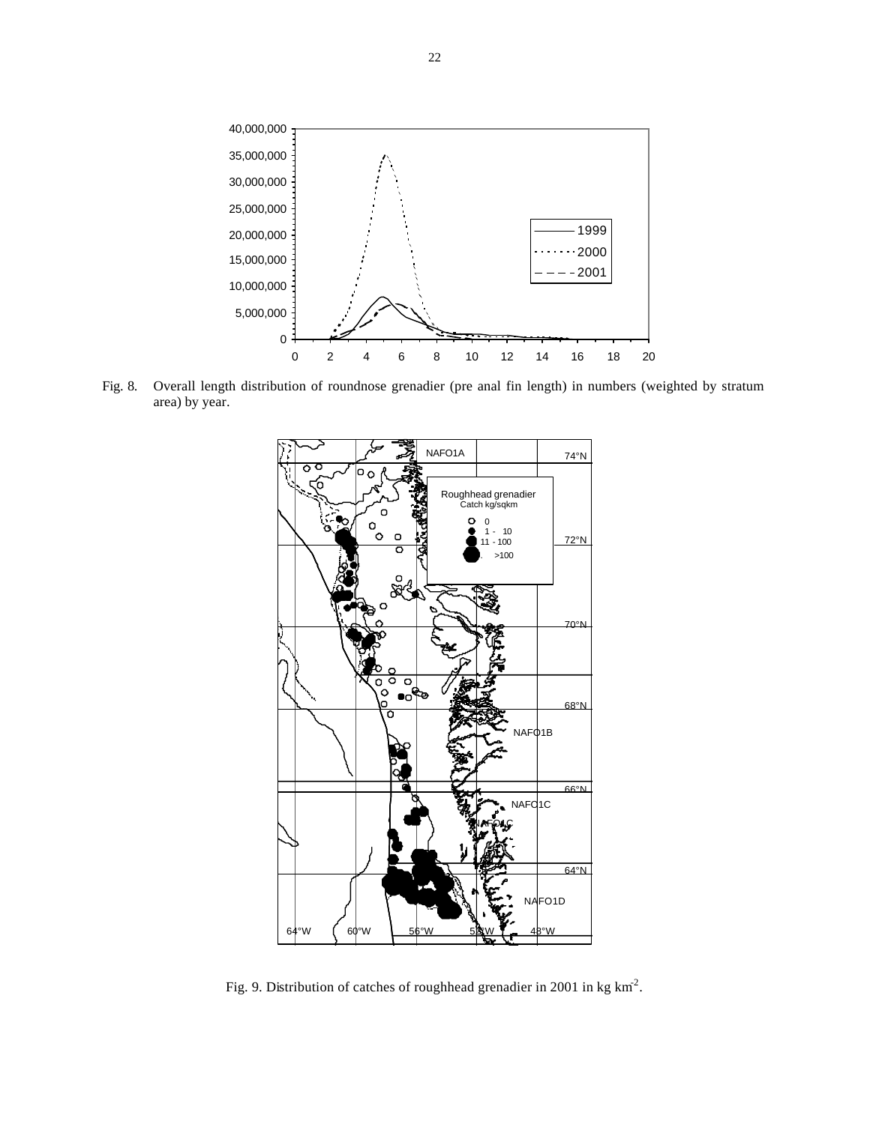

Fig. 8. Overall length distribution of roundnose grenadier (pre anal fin length) in numbers (weighted by stratum area) by year.



Fig. 9. Distribution of catches of roughhead grenadier in 2001 in kg km<sup>2</sup>.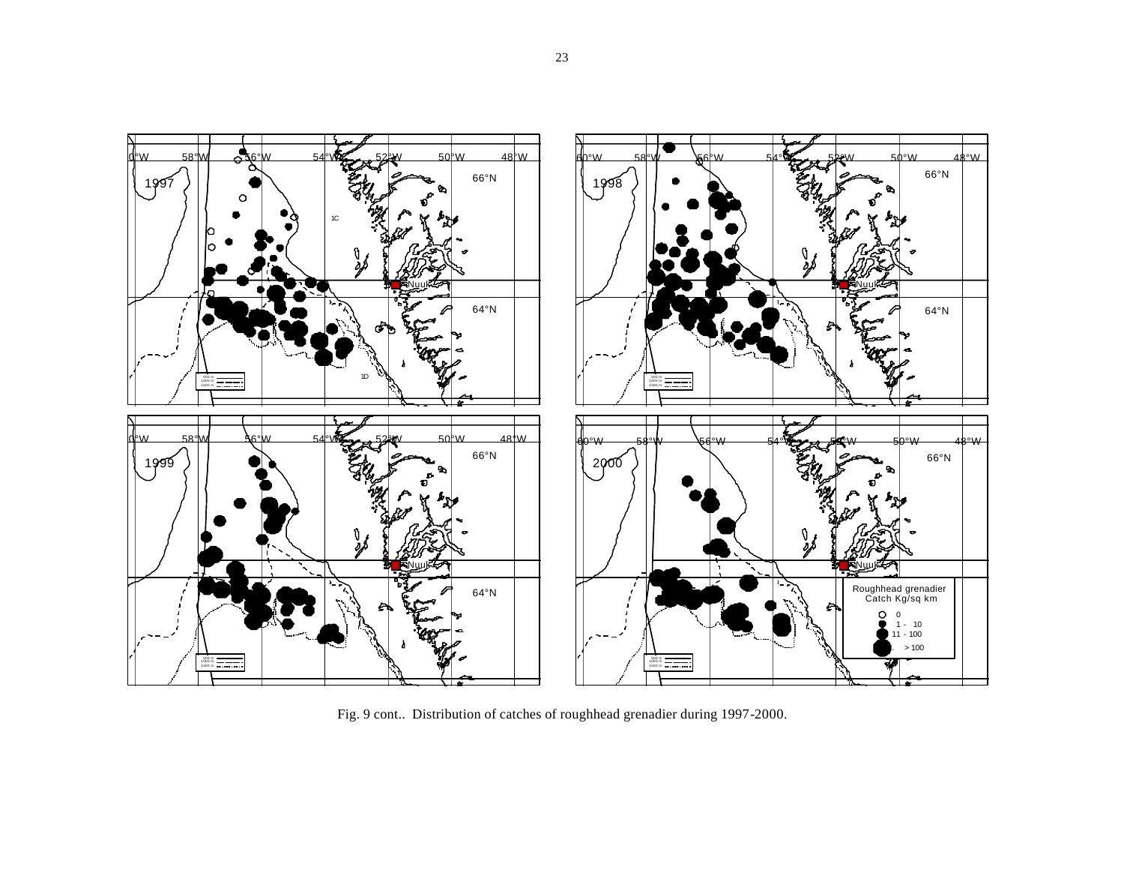

Fig. 9 cont.. Distribution of catches of roughhead grenadier during 1997-2000.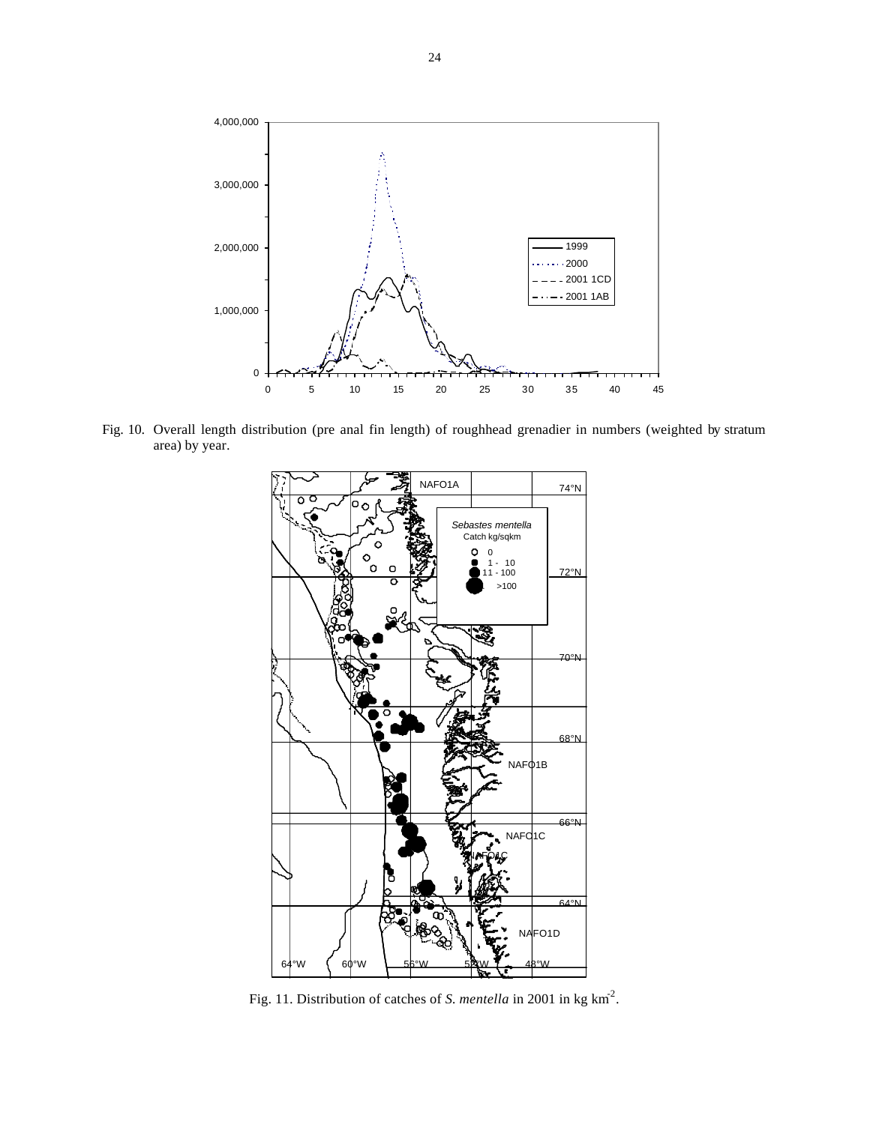

Fig. 10. Overall length distribution (pre anal fin length) of roughhead grenadier in numbers (weighted by stratum area) by year.



Fig. 11. Distribution of catches of *S. mentella* in 2001 in kg km<sup>2</sup>.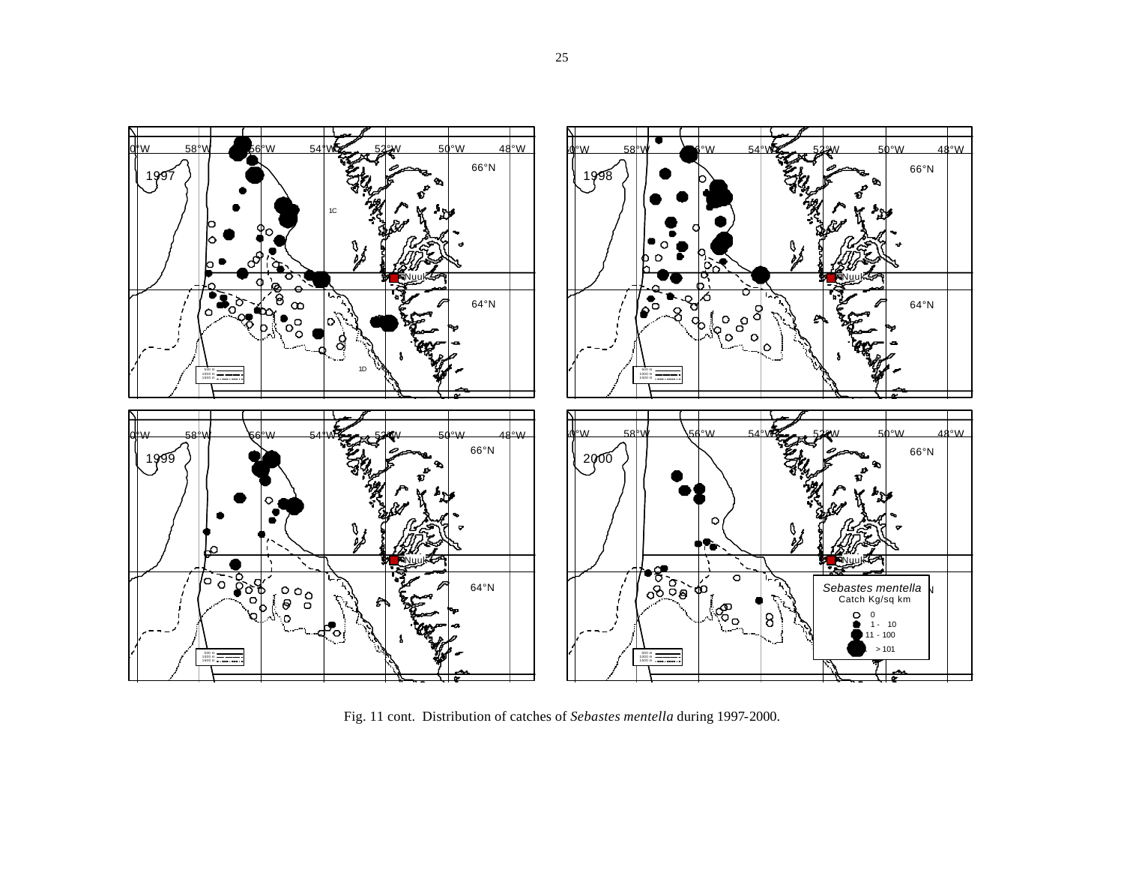

Fig. 11 cont. Distribution of catches of *Sebastes mentella* during 1997-2000.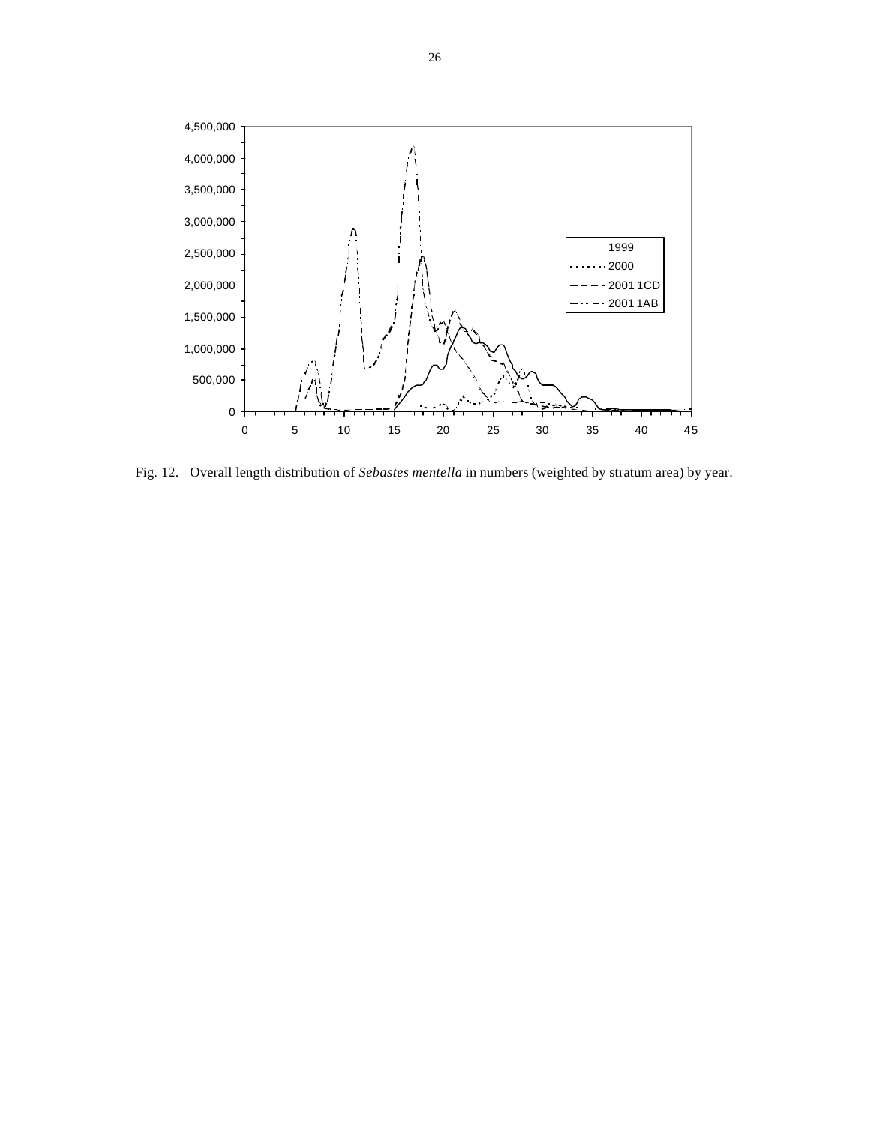

Fig. 12. Overall length distribution of *Sebastes mentella* in numbers (weighted by stratum area) by year.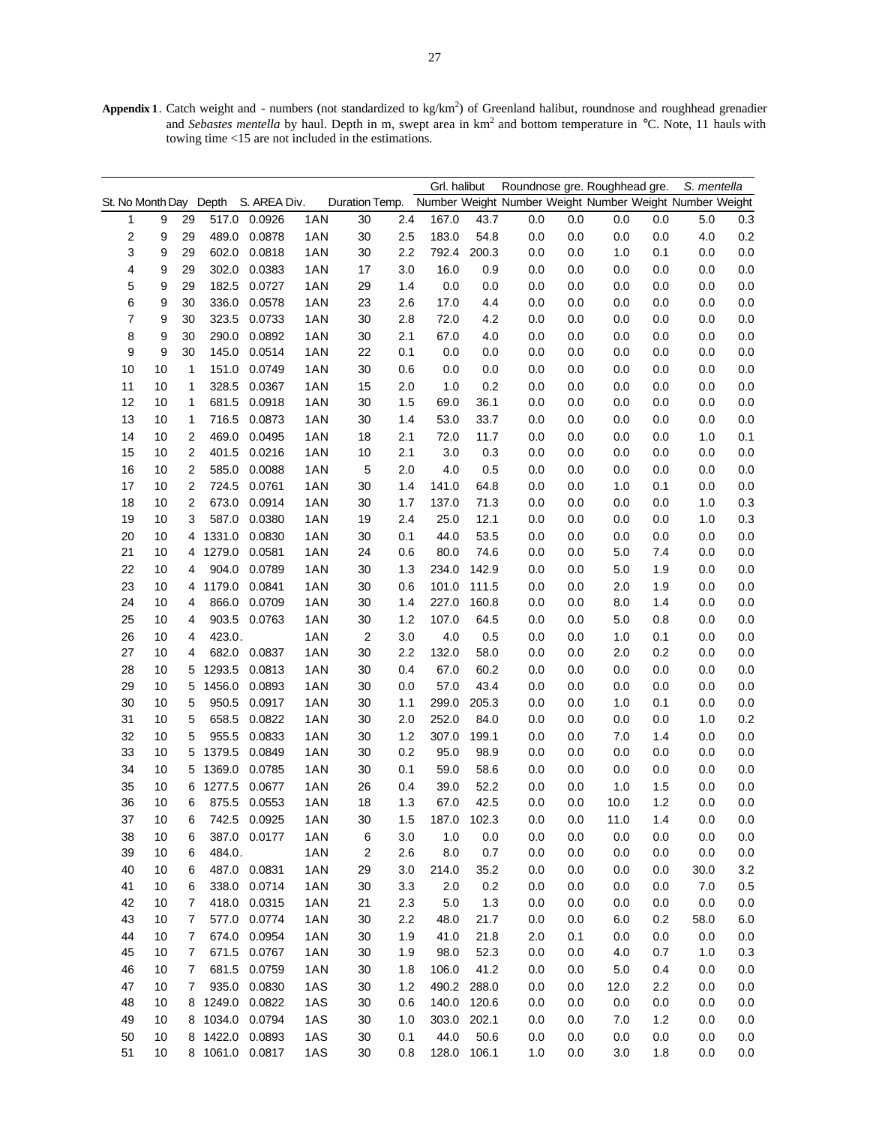Appendix 1. Catch weight and - numbers (not standardized to kg/km<sup>2</sup>) of Greenland halibut, roundnose and roughhead grenadier and *Sebastes mentella* by haul. Depth in m, swept area in km<sup>2</sup> and bottom temperature in °C. Note, 11 hauls with towing time <15 are not included in the estimations.

|                |                        |                         |        |                 |     |                |         | Grl. halibut |         |                                                         |     | Roundnose gre. Roughhead gre. |     | S. mentella |         |
|----------------|------------------------|-------------------------|--------|-----------------|-----|----------------|---------|--------------|---------|---------------------------------------------------------|-----|-------------------------------|-----|-------------|---------|
|                | St. No Month Day Depth |                         |        | S. AREA Div.    |     | Duration Temp. |         |              |         | Number Weight Number Weight Number Weight Number Weight |     |                               |     |             |         |
| 1              | 9                      | 29                      | 517.0  | 0.0926          | 1AN | 30             | 2.4     | 167.0        | 43.7    | 0.0                                                     | 0.0 | 0.0                           | 0.0 | 5.0         | 0.3     |
| 2              | 9                      | 29                      | 489.0  | 0.0878          | 1AN | 30             | 2.5     | 183.0        | 54.8    | 0.0                                                     | 0.0 | 0.0                           | 0.0 | 4.0         | $0.2\,$ |
| 3              | 9                      | 29                      | 602.0  | 0.0818          | 1AN | 30             | 2.2     | 792.4        | 200.3   | 0.0                                                     | 0.0 | 1.0                           | 0.1 | 0.0         | $0.0\,$ |
| 4              | 9                      | 29                      | 302.0  | 0.0383          | 1AN | 17             | 3.0     | 16.0         | 0.9     | 0.0                                                     | 0.0 | 0.0                           | 0.0 | 0.0         | 0.0     |
| 5              | 9                      | 29                      | 182.5  | 0.0727          | 1AN | 29             | 1.4     | 0.0          | 0.0     | 0.0                                                     | 0.0 | 0.0                           | 0.0 | 0.0         | 0.0     |
| 6              | 9                      | 30                      | 336.0  | 0.0578          | 1AN | 23             | 2.6     | 17.0         | 4.4     | 0.0                                                     | 0.0 | 0.0                           | 0.0 | 0.0         | 0.0     |
| $\overline{7}$ | 9                      | 30                      | 323.5  | 0.0733          | 1AN | 30             | 2.8     | 72.0         | 4.2     | 0.0                                                     | 0.0 | 0.0                           | 0.0 | 0.0         | 0.0     |
| 8              | 9                      | 30                      | 290.0  | 0.0892          | 1AN | 30             | 2.1     | 67.0         | 4.0     | 0.0                                                     | 0.0 | 0.0                           | 0.0 | 0.0         | 0.0     |
| 9              | 9                      | 30                      | 145.0  | 0.0514          | 1AN | 22             | 0.1     | 0.0          | 0.0     | 0.0                                                     | 0.0 | 0.0                           | 0.0 | 0.0         | 0.0     |
| 10             | 10                     | 1                       | 151.0  | 0.0749          | 1AN | 30             | 0.6     | 0.0          | 0.0     | 0.0                                                     | 0.0 | 0.0                           | 0.0 | 0.0         | 0.0     |
| 11             | 10                     | 1                       | 328.5  | 0.0367          | 1AN | 15             | 2.0     | 1.0          | 0.2     | 0.0                                                     | 0.0 | 0.0                           | 0.0 | 0.0         | 0.0     |
| 12             | 10                     | 1                       | 681.5  | 0.0918          | 1AN | 30             | 1.5     | 69.0         | 36.1    | 0.0                                                     | 0.0 | 0.0                           | 0.0 | 0.0         | 0.0     |
| 13             | 10                     | $\mathbf{1}$            | 716.5  | 0.0873          | 1AN | 30             | 1.4     | 53.0         | 33.7    | 0.0                                                     | 0.0 | 0.0                           | 0.0 | 0.0         | 0.0     |
| 14             | 10                     | $\overline{c}$          | 469.0  | 0.0495          | 1AN | 18             | 2.1     | 72.0         | 11.7    | 0.0                                                     | 0.0 | 0.0                           | 0.0 | 1.0         | 0.1     |
| 15             | 10                     | $\overline{c}$          | 401.5  | 0.0216          | 1AN | 10             | 2.1     | 3.0          | 0.3     | 0.0                                                     | 0.0 | 0.0                           | 0.0 | 0.0         | 0.0     |
| 16             | 10                     | $\boldsymbol{2}$        | 585.0  | 0.0088          | 1AN | 5              | 2.0     | 4.0          | 0.5     | 0.0                                                     | 0.0 | 0.0                           | 0.0 | 0.0         | 0.0     |
| 17             | 10                     | $\overline{\mathbf{c}}$ | 724.5  | 0.0761          | 1AN | 30             | 1.4     | 141.0        | 64.8    | 0.0                                                     | 0.0 | 1.0                           | 0.1 | 0.0         | 0.0     |
| 18             | 10                     | $\boldsymbol{2}$        | 673.0  | 0.0914          | 1AN | 30             | 1.7     | 137.0        | 71.3    | 0.0                                                     | 0.0 | 0.0                           | 0.0 | 1.0         | 0.3     |
| 19             | 10                     | 3                       | 587.0  | 0.0380          | 1AN | 19             | 2.4     | 25.0         | 12.1    | 0.0                                                     | 0.0 | 0.0                           | 0.0 | 1.0         | 0.3     |
| 20             | 10                     | 4                       | 1331.0 | 0.0830          | 1AN | 30             | 0.1     | 44.0         | 53.5    | 0.0                                                     | 0.0 | 0.0                           | 0.0 | 0.0         | 0.0     |
| 21             | 10                     | 4                       | 1279.0 | 0.0581          | 1AN | 24             | 0.6     | 80.0         | 74.6    | 0.0                                                     | 0.0 | 5.0                           | 7.4 | 0.0         | 0.0     |
| 22             | 10                     | 4                       | 904.0  | 0.0789          | 1AN | 30             | 1.3     | 234.0        | 142.9   | 0.0                                                     | 0.0 | 5.0                           | 1.9 | 0.0         | 0.0     |
| 23             | 10                     | 4                       | 1179.0 | 0.0841          | 1AN | 30             | 0.6     | 101.0        | 111.5   | 0.0                                                     | 0.0 | 2.0                           | 1.9 | 0.0         | 0.0     |
| 24             | 10                     | 4                       | 866.0  | 0.0709          | 1AN | 30             | 1.4     | 227.0        | 160.8   | 0.0                                                     | 0.0 | 8.0                           | 1.4 | 0.0         | 0.0     |
| 25             | 10                     | 4                       | 903.5  | 0.0763          | 1AN | 30             | 1.2     | 107.0        | 64.5    | 0.0                                                     | 0.0 | 5.0                           | 0.8 | 0.0         | 0.0     |
| 26             | 10                     | 4                       | 423.0. |                 | 1AN | 2              | 3.0     | 4.0          | 0.5     | 0.0                                                     | 0.0 | 1.0                           | 0.1 | 0.0         | 0.0     |
| 27             | 10                     | 4                       | 682.0  | 0.0837          | 1AN | 30             | 2.2     | 132.0        | 58.0    | 0.0                                                     | 0.0 | 2.0                           | 0.2 | 0.0         | $0.0\,$ |
| 28             | 10                     | 5                       | 1293.5 | 0.0813          | 1AN | 30             | 0.4     | 67.0         | 60.2    | 0.0                                                     | 0.0 | 0.0                           | 0.0 | 0.0         | 0.0     |
| 29             | 10                     | 5                       | 1456.0 | 0.0893          | 1AN | 30             | 0.0     | 57.0         | 43.4    | 0.0                                                     | 0.0 | 0.0                           | 0.0 | 0.0         | 0.0     |
| 30             | 10                     | 5                       | 950.5  | 0.0917          | 1AN | 30             | 1.1     | 299.0        | 205.3   | 0.0                                                     | 0.0 | 1.0                           | 0.1 | 0.0         | $0.0\,$ |
| 31             | 10                     | 5                       | 658.5  | 0.0822          | 1AN | 30             | 2.0     | 252.0        | 84.0    | 0.0                                                     | 0.0 | 0.0                           | 0.0 | 1.0         | 0.2     |
| 32             | 10                     | 5                       | 955.5  | 0.0833          | 1AN | 30             | 1.2     | 307.0        | 199.1   | 0.0                                                     | 0.0 | 7.0                           | 1.4 | 0.0         | 0.0     |
| 33             | 10                     | 5                       | 1379.5 | 0.0849          | 1AN | 30             | 0.2     | 95.0         | 98.9    | 0.0                                                     | 0.0 | 0.0                           | 0.0 | 0.0         | 0.0     |
| 34             | 10                     | 5                       | 1369.0 | 0.0785          | 1AN | 30             | 0.1     | 59.0         | 58.6    | 0.0                                                     | 0.0 | 0.0                           | 0.0 | 0.0         | 0.0     |
| 35             | 10                     | 6                       | 1277.5 | 0.0677          | 1AN | 26             | 0.4     | 39.0         | 52.2    | 0.0                                                     | 0.0 | 1.0                           | 1.5 | 0.0         | 0.0     |
| 36             | 10                     | 6                       | 875.5  | 0.0553          | 1AN | 18             | 1.3     | 67.0         | 42.5    | 0.0                                                     | 0.0 | 10.0                          | 1.2 | 0.0         | 0.0     |
| 37             | 10                     | 6                       |        | 742.5   0.0925  | 1AN | 30             | 1.5     | 187.0        | 102.3   | 0.0                                                     | 0.0 | 11.0                          | 1.4 | 0.0         | 0.0     |
| 38             | 10                     | 6                       |        | 387.0 0.0177    | 1AN | 6              | 3.0     | 1.0          | 0.0     | 0.0                                                     | 0.0 | 0.0                           | 0.0 | 0.0         | 0.0     |
| 39             | 10                     | 6                       | 484.0. |                 | 1AN | $\sqrt{2}$     | 2.6     | $8.0\,$      | $0.7\,$ | 0.0                                                     | 0.0 | 0.0                           | 0.0 | 0.0         | $0.0\,$ |
| 40             | 10                     | 6                       |        | 487.0 0.0831    | 1AN | 29             | $3.0\,$ | 214.0        | 35.2    | 0.0                                                     | 0.0 | 0.0                           | 0.0 | 30.0        | 3.2     |
| 41             | 10                     | 6                       | 338.0  | 0.0714          | 1AN | 30             | 3.3     | 2.0          | 0.2     | 0.0                                                     | 0.0 | 0.0                           | 0.0 | 7.0         | 0.5     |
| 42             | 10                     | 7                       | 418.0  | 0.0315          | 1AN | 21             | 2.3     | $5.0\,$      | $1.3$   | $0.0\,$                                                 | 0.0 | 0.0                           | 0.0 | 0.0         | $0.0\,$ |
| 43             | 10                     | 7                       | 577.0  | 0.0774          | 1AN | 30             | 2.2     | 48.0         | 21.7    | 0.0                                                     | 0.0 | 6.0                           | 0.2 | 58.0        | 6.0     |
| 44             | 10                     | 7                       | 674.0  | 0.0954          | 1AN | 30             | 1.9     | 41.0         | 21.8    | 2.0                                                     | 0.1 | 0.0                           | 0.0 | 0.0         | 0.0     |
| 45             | 10                     | $\overline{7}$          |        | 671.5 0.0767    | 1AN | 30             | 1.9     | 98.0         | 52.3    | 0.0                                                     | 0.0 | 4.0                           | 0.7 | 1.0         | 0.3     |
| 46             | 10                     | 7                       | 681.5  | 0.0759          | 1AN | 30             | 1.8     | 106.0        | 41.2    | 0.0                                                     | 0.0 | 5.0                           | 0.4 | 0.0         | 0.0     |
| 47             | 10                     | 7                       |        | 935.0 0.0830    | 1AS | 30             | 1.2     | 490.2        | 288.0   | 0.0                                                     | 0.0 | 12.0                          | 2.2 | 0.0         | 0.0     |
| 48             | 10                     | 8                       |        | 1249.0 0.0822   | 1AS | 30             | 0.6     | 140.0        | 120.6   | 0.0                                                     | 0.0 | 0.0                           | 0.0 | 0.0         | 0.0     |
| 49             | 10                     |                         |        | 8 1034.0 0.0794 | 1AS | 30             | 1.0     | 303.0        | 202.1   | 0.0                                                     | 0.0 | 7.0                           | 1.2 | 0.0         | 0.0     |
| 50             | 10                     |                         |        | 8 1422.0 0.0893 | 1AS | 30             | 0.1     | 44.0         | 50.6    | 0.0                                                     | 0.0 | 0.0                           | 0.0 | 0.0         | 0.0     |
| 51             | 10                     |                         |        | 8 1061.0 0.0817 | 1AS | 30             | 0.8     | 128.0        | 106.1   | 1.0                                                     | 0.0 | 3.0                           | 1.8 | 0.0         | $0.0\,$ |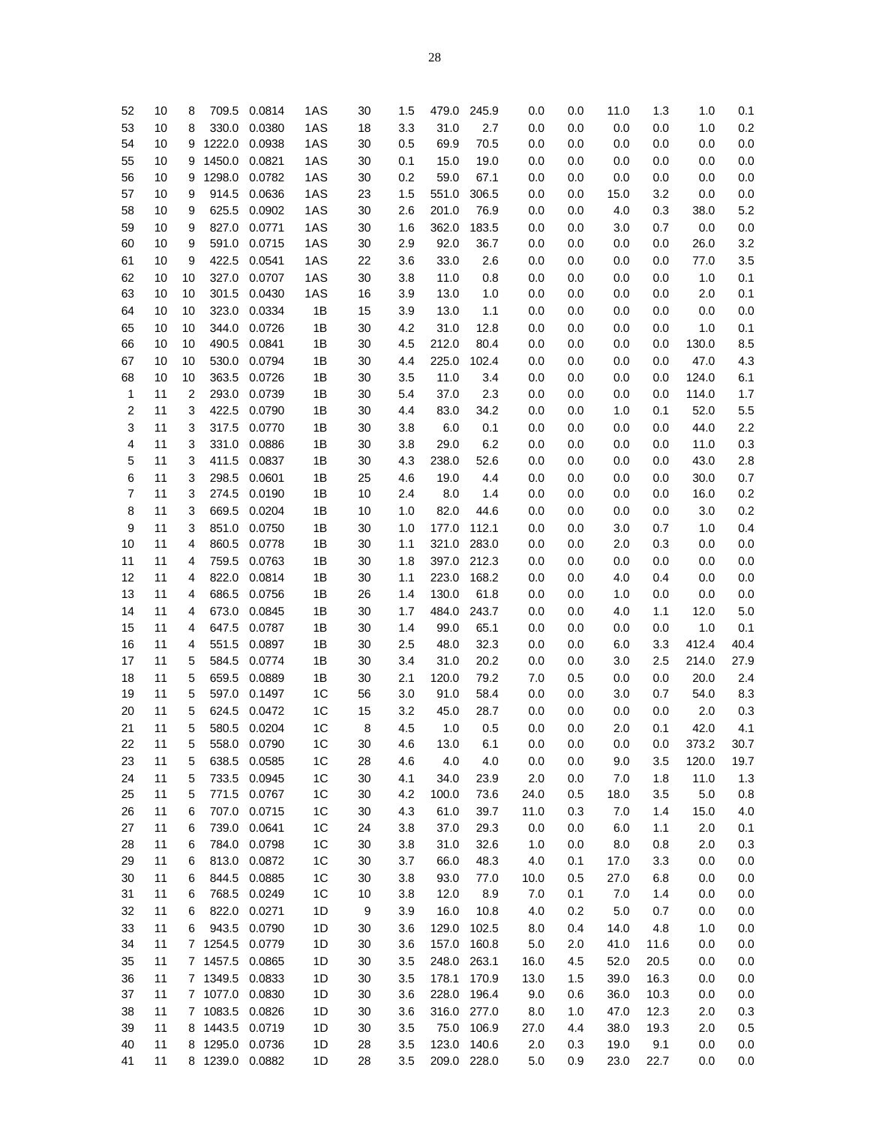| 52 | 10 | 8              | 709.5           | 0.0814       | 1AS            | 30 | 1.5 | 479.0 | 245.9       | 0.0  | 0.0 | 11.0 | 1.3  | 1.0     | 0.1     |
|----|----|----------------|-----------------|--------------|----------------|----|-----|-------|-------------|------|-----|------|------|---------|---------|
| 53 | 10 | 8              | 330.0           | 0.0380       | 1AS            | 18 | 3.3 | 31.0  | 2.7         | 0.0  | 0.0 | 0.0  | 0.0  | 1.0     | 0.2     |
| 54 | 10 | 9              | 1222.0          | 0.0938       | 1AS            | 30 | 0.5 | 69.9  | 70.5        | 0.0  | 0.0 | 0.0  | 0.0  | 0.0     | 0.0     |
| 55 | 10 | 9              | 1450.0          | 0.0821       | 1AS            | 30 | 0.1 | 15.0  | 19.0        | 0.0  | 0.0 | 0.0  | 0.0  | 0.0     | 0.0     |
| 56 | 10 | 9              | 1298.0          | 0.0782       | 1AS            | 30 | 0.2 | 59.0  | 67.1        | 0.0  | 0.0 | 0.0  | 0.0  | 0.0     | 0.0     |
| 57 | 10 | 9              | 914.5           | 0.0636       | 1AS            | 23 | 1.5 | 551.0 | 306.5       | 0.0  | 0.0 | 15.0 | 3.2  | 0.0     | 0.0     |
| 58 | 10 | 9              | 625.5           | 0.0902       | 1AS            | 30 | 2.6 | 201.0 | 76.9        | 0.0  | 0.0 | 4.0  | 0.3  | 38.0    | 5.2     |
| 59 | 10 | 9              | 827.0           | 0.0771       | 1AS            | 30 | 1.6 | 362.0 | 183.5       | 0.0  | 0.0 | 3.0  | 0.7  | 0.0     | 0.0     |
| 60 | 10 | 9              | 591.0           | 0.0715       | 1AS            | 30 | 2.9 | 92.0  | 36.7        | 0.0  | 0.0 | 0.0  | 0.0  | 26.0    | 3.2     |
| 61 | 10 | 9              | 422.5           | 0.0541       | 1AS            | 22 | 3.6 | 33.0  | 2.6         | 0.0  | 0.0 | 0.0  | 0.0  | 77.0    | 3.5     |
| 62 | 10 | 10             | 327.0           | 0.0707       | 1AS            | 30 | 3.8 | 11.0  | 0.8         | 0.0  | 0.0 | 0.0  | 0.0  | 1.0     | 0.1     |
| 63 | 10 | 10             | 301.5           | 0.0430       | 1AS            | 16 | 3.9 | 13.0  | 1.0         | 0.0  | 0.0 | 0.0  | 0.0  | 2.0     | 0.1     |
| 64 | 10 | 10             | 323.0           | 0.0334       | 1B             | 15 | 3.9 | 13.0  | $1.1$       | 0.0  | 0.0 | 0.0  | 0.0  | 0.0     | 0.0     |
|    |    |                |                 |              |                |    |     |       |             |      |     |      |      |         |         |
| 65 | 10 | 10             | 344.0           | 0.0726       | 1B             | 30 | 4.2 | 31.0  | 12.8        | 0.0  | 0.0 | 0.0  | 0.0  | 1.0     | 0.1     |
| 66 | 10 | 10             | 490.5           | 0.0841       | 1B             | 30 | 4.5 | 212.0 | 80.4        | 0.0  | 0.0 | 0.0  | 0.0  | 130.0   | 8.5     |
| 67 | 10 | 10             | 530.0           | 0.0794       | 1Β             | 30 | 4.4 | 225.0 | 102.4       | 0.0  | 0.0 | 0.0  | 0.0  | 47.0    | 4.3     |
| 68 | 10 | 10             | 363.5           | 0.0726       | 1Β             | 30 | 3.5 | 11.0  | 3.4         | 0.0  | 0.0 | 0.0  | 0.0  | 124.0   | 6.1     |
| 1  | 11 | $\overline{c}$ | 293.0           | 0.0739       | 1B             | 30 | 5.4 | 37.0  | 2.3         | 0.0  | 0.0 | 0.0  | 0.0  | 114.0   | 1.7     |
| 2  | 11 | 3              | 422.5           | 0.0790       | 1B             | 30 | 4.4 | 83.0  | 34.2        | 0.0  | 0.0 | 1.0  | 0.1  | 52.0    | 5.5     |
| 3  | 11 | 3              | 317.5           | 0.0770       | 1Β             | 30 | 3.8 | 6.0   | 0.1         | 0.0  | 0.0 | 0.0  | 0.0  | 44.0    | 2.2     |
| 4  | 11 | 3              | 331.0           | 0.0886       | 1B             | 30 | 3.8 | 29.0  | 6.2         | 0.0  | 0.0 | 0.0  | 0.0  | 11.0    | 0.3     |
| 5  | 11 | 3              | 411.5           | 0.0837       | 1Β             | 30 | 4.3 | 238.0 | 52.6        | 0.0  | 0.0 | 0.0  | 0.0  | 43.0    | 2.8     |
| 6  | 11 | 3              | 298.5           | 0.0601       | 1B             | 25 | 4.6 | 19.0  | 4.4         | 0.0  | 0.0 | 0.0  | 0.0  | 30.0    | 0.7     |
| 7  | 11 | 3              | 274.5           | 0.0190       | 1B             | 10 | 2.4 | 8.0   | 1.4         | 0.0  | 0.0 | 0.0  | 0.0  | 16.0    | 0.2     |
| 8  | 11 | 3              | 669.5           | 0.0204       | 1Β             | 10 | 1.0 | 82.0  | 44.6        | 0.0  | 0.0 | 0.0  | 0.0  | 3.0     | 0.2     |
| 9  | 11 | 3              | 851.0           | 0.0750       | 1Β             | 30 | 1.0 | 177.0 | 112.1       | 0.0  | 0.0 | 3.0  | 0.7  | 1.0     | 0.4     |
| 10 | 11 | 4              | 860.5           | 0.0778       | 1B             | 30 | 1.1 | 321.0 | 283.0       | 0.0  | 0.0 | 2.0  | 0.3  | 0.0     | 0.0     |
| 11 | 11 | 4              | 759.5           | 0.0763       | 1Β             | 30 | 1.8 | 397.0 | 212.3       | 0.0  | 0.0 | 0.0  | 0.0  | 0.0     | 0.0     |
| 12 | 11 | 4              | 822.0           | 0.0814       | 1B             | 30 | 1.1 | 223.0 | 168.2       | 0.0  | 0.0 | 4.0  | 0.4  | 0.0     | 0.0     |
| 13 | 11 | 4              | 686.5           | 0.0756       | 1B             | 26 | 1.4 | 130.0 | 61.8        | 0.0  | 0.0 | 1.0  | 0.0  | 0.0     | 0.0     |
| 14 | 11 | 4              | 673.0           | 0.0845       | 1Β             | 30 | 1.7 | 484.0 | 243.7       | 0.0  | 0.0 | 4.0  | 1.1  | 12.0    | 5.0     |
| 15 | 11 | 4              | 647.5           | 0.0787       | 1Β             | 30 | 1.4 | 99.0  | 65.1        | 0.0  | 0.0 | 0.0  | 0.0  | 1.0     | 0.1     |
| 16 | 11 | 4              | 551.5           | 0.0897       | 1B             | 30 | 2.5 | 48.0  | 32.3        | 0.0  | 0.0 | 6.0  | 3.3  | 412.4   | 40.4    |
| 17 | 11 | 5              | 584.5           | 0.0774       | 1B             | 30 | 3.4 | 31.0  | 20.2        | 0.0  | 0.0 | 3.0  | 2.5  | 214.0   | 27.9    |
| 18 | 11 | 5              | 659.5           | 0.0889       | 1B             | 30 | 2.1 | 120.0 | 79.2        | 7.0  | 0.5 | 0.0  | 0.0  | 20.0    | 2.4     |
| 19 | 11 | 5              | 597.0           | 0.1497       | 1C             | 56 | 3.0 | 91.0  | 58.4        | 0.0  | 0.0 | 3.0  | 0.7  | 54.0    | 8.3     |
| 20 | 11 | 5              | 624.5           | 0.0472       | 1C             | 15 | 3.2 | 45.0  | 28.7        | 0.0  | 0.0 | 0.0  | 0.0  | 2.0     | 0.3     |
| 21 | 11 | 5              | 580.5           | 0.0204       | 1 <sup>C</sup> | 8  | 4.5 | 1.0   | 0.5         | 0.0  | 0.0 | 2.0  | 0.1  | 42.0    | 4.1     |
| 22 | 11 | 5              |                 | 558.0 0.0790 | 1C             | 30 | 4.6 | 13.0  | 6.1         | 0.0  | 0.0 | 0.0  | 0.0  | 373.2   | 30.7    |
| 23 | 11 | 5              |                 | 638.5 0.0585 | 1C             | 28 | 4.6 | 4.0   | 4.0         | 0.0  | 0.0 | 9.0  | 3.5  | 120.0   | 19.7    |
| 24 | 11 | 5              |                 | 733.5 0.0945 | 1C             | 30 | 4.1 | 34.0  | 23.9        | 2.0  | 0.0 | 7.0  | 1.8  | 11.0    | 1.3     |
| 25 | 11 | 5              |                 | 771.5 0.0767 | 1C             | 30 | 4.2 | 100.0 | 73.6        | 24.0 | 0.5 | 18.0 | 3.5  | $5.0\,$ | 0.8     |
| 26 | 11 | 6              |                 | 707.0 0.0715 | 1C             | 30 | 4.3 | 61.0  | 39.7        | 11.0 | 0.3 | 7.0  | 1.4  | 15.0    | $4.0\,$ |
| 27 | 11 | 6              |                 | 739.0 0.0641 | 1C             | 24 | 3.8 | 37.0  | 29.3        | 0.0  | 0.0 | 6.0  | 1.1  | 2.0     | 0.1     |
| 28 | 11 | 6              | 784.0           | 0.0798       | 1C             | 30 | 3.8 | 31.0  | 32.6        | 1.0  | 0.0 | 8.0  | 0.8  | 2.0     | 0.3     |
| 29 | 11 | 6              | 813.0           | 0.0872       | 1C             | 30 | 3.7 | 66.0  | 48.3        | 4.0  | 0.1 | 17.0 | 3.3  | 0.0     | $0.0\,$ |
| 30 | 11 | 6              | 844.5           | 0.0885       | 1C             | 30 | 3.8 | 93.0  | 77.0        | 10.0 | 0.5 | 27.0 | 6.8  | 0.0     | $0.0\,$ |
| 31 | 11 | 6              | 768.5           | 0.0249       | 1C             | 10 | 3.8 | 12.0  | 8.9         | 7.0  | 0.1 | 7.0  | 1.4  | 0.0     | $0.0\,$ |
| 32 | 11 | 6              | 822.0           | 0.0271       | 1D             | 9  | 3.9 | 16.0  | 10.8        | 4.0  | 0.2 | 5.0  | 0.7  | 0.0     | $0.0\,$ |
| 33 | 11 | 6              | 943.5           | 0.0790       | 1D             | 30 | 3.6 | 129.0 | 102.5       | 8.0  | 0.4 | 14.0 | 4.8  | 1.0     | $0.0\,$ |
| 34 | 11 |                | 7 1254.5        | 0.0779       | 1D             | 30 | 3.6 | 157.0 | 160.8       | 5.0  | 2.0 | 41.0 | 11.6 | 0.0     | 0.0     |
|    | 11 |                | 7 1457.5        | 0.0865       | 1D             | 30 | 3.5 | 248.0 | 263.1       |      | 4.5 |      | 20.5 | 0.0     |         |
| 35 |    |                |                 |              |                |    |     |       |             | 16.0 |     | 52.0 |      |         | 0.0     |
| 36 | 11 |                | 7 1349.5        | 0.0833       | 1D             | 30 | 3.5 | 178.1 | 170.9       | 13.0 | 1.5 | 39.0 | 16.3 | 0.0     | 0.0     |
| 37 | 11 |                | 7 1077.0        | 0.0830       | 1D             | 30 | 3.6 | 228.0 | 196.4       | 9.0  | 0.6 | 36.0 | 10.3 | 0.0     | 0.0     |
| 38 | 11 |                | 7 1083.5        | 0.0826       | 1D             | 30 | 3.6 | 316.0 | 277.0       | 8.0  | 1.0 | 47.0 | 12.3 | 2.0     | 0.3     |
| 39 | 11 |                | 8 1443.5        | 0.0719       | 1D             | 30 | 3.5 | 75.0  | 106.9       | 27.0 | 4.4 | 38.0 | 19.3 | 2.0     | $0.5\,$ |
| 40 | 11 |                | 8 1295.0        | 0.0736       | 1D             | 28 | 3.5 | 123.0 | 140.6       | 2.0  | 0.3 | 19.0 | 9.1  | 0.0     | 0.0     |
| 41 | 11 |                | 8 1239.0 0.0882 |              | 1D             | 28 | 3.5 |       | 209.0 228.0 | 5.0  | 0.9 | 23.0 | 22.7 | 0.0     | 0.0     |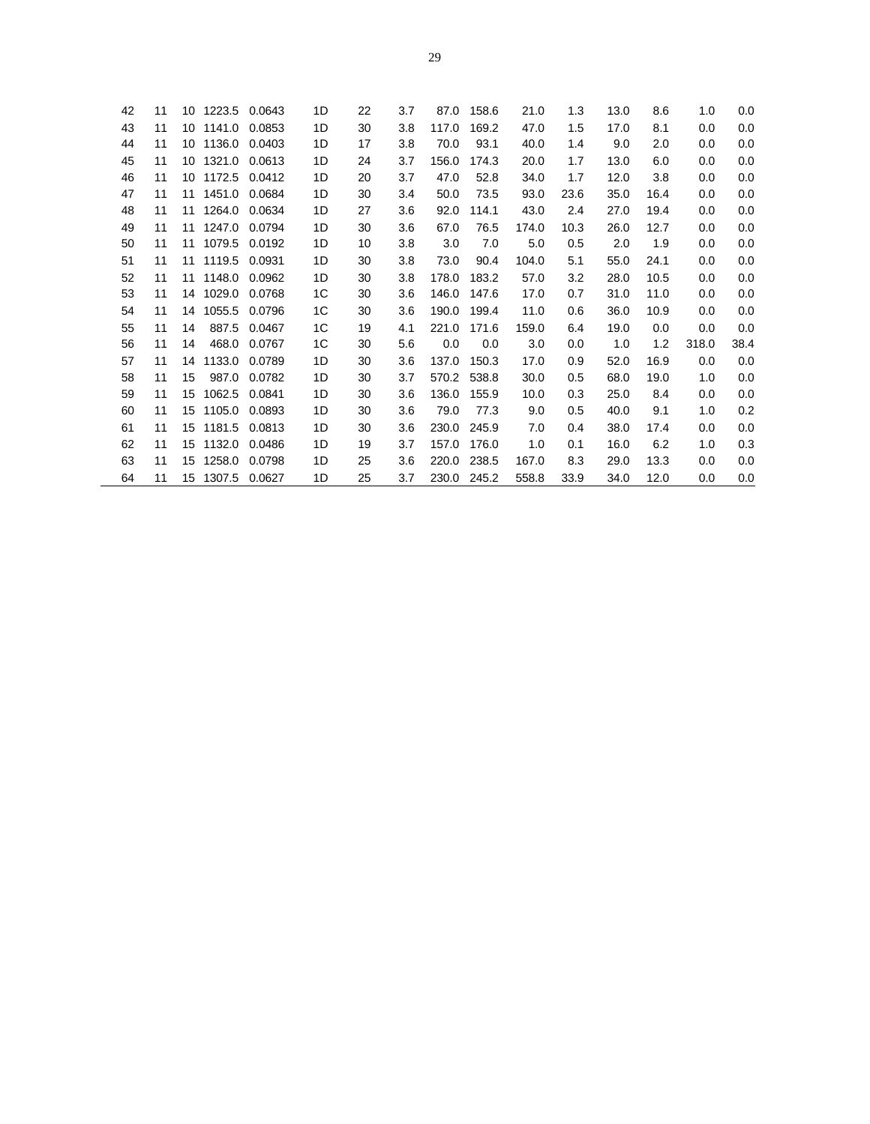| 42 | 11 | 10 | 1223.5 | 0.0643 | 1D | 22 | 3.7 | 87.0  | 158.6 | 21.0  | 1.3  | 13.0 | 8.6  | 1.0   | 0.0  |
|----|----|----|--------|--------|----|----|-----|-------|-------|-------|------|------|------|-------|------|
| 43 | 11 | 10 | 1141.0 | 0.0853 | 1D | 30 | 3.8 | 117.0 | 169.2 | 47.0  | 1.5  | 17.0 | 8.1  | 0.0   | 0.0  |
| 44 | 11 | 10 | 1136.0 | 0.0403 | 1D | 17 | 3.8 | 70.0  | 93.1  | 40.0  | 1.4  | 9.0  | 2.0  | 0.0   | 0.0  |
| 45 | 11 | 10 | 1321.0 | 0.0613 | 1D | 24 | 3.7 | 156.0 | 174.3 | 20.0  | 1.7  | 13.0 | 6.0  | 0.0   | 0.0  |
| 46 | 11 | 10 | 1172.5 | 0.0412 | 1D | 20 | 3.7 | 47.0  | 52.8  | 34.0  | 1.7  | 12.0 | 3.8  | 0.0   | 0.0  |
| 47 | 11 | 11 | 1451.0 | 0.0684 | 1D | 30 | 3.4 | 50.0  | 73.5  | 93.0  | 23.6 | 35.0 | 16.4 | 0.0   | 0.0  |
| 48 | 11 | 11 | 1264.0 | 0.0634 | 1D | 27 | 3.6 | 92.0  | 114.1 | 43.0  | 2.4  | 27.0 | 19.4 | 0.0   | 0.0  |
| 49 | 11 | 11 | 1247.0 | 0.0794 | 1D | 30 | 3.6 | 67.0  | 76.5  | 174.0 | 10.3 | 26.0 | 12.7 | 0.0   | 0.0  |
| 50 | 11 | 11 | 1079.5 | 0.0192 | 1D | 10 | 3.8 | 3.0   | 7.0   | 5.0   | 0.5  | 2.0  | 1.9  | 0.0   | 0.0  |
| 51 | 11 | 11 | 1119.5 | 0.0931 | 1D | 30 | 3.8 | 73.0  | 90.4  | 104.0 | 5.1  | 55.0 | 24.1 | 0.0   | 0.0  |
| 52 | 11 | 11 | 1148.0 | 0.0962 | 1D | 30 | 3.8 | 178.0 | 183.2 | 57.0  | 3.2  | 28.0 | 10.5 | 0.0   | 0.0  |
| 53 | 11 | 14 | 1029.0 | 0.0768 | 1C | 30 | 3.6 | 146.0 | 147.6 | 17.0  | 0.7  | 31.0 | 11.0 | 0.0   | 0.0  |
| 54 | 11 | 14 | 1055.5 | 0.0796 | 1C | 30 | 3.6 | 190.0 | 199.4 | 11.0  | 0.6  | 36.0 | 10.9 | 0.0   | 0.0  |
| 55 | 11 | 14 | 887.5  | 0.0467 | 1C | 19 | 4.1 | 221.0 | 171.6 | 159.0 | 6.4  | 19.0 | 0.0  | 0.0   | 0.0  |
| 56 | 11 | 14 | 468.0  | 0.0767 | 1C | 30 | 5.6 | 0.0   | 0.0   | 3.0   | 0.0  | 1.0  | 1.2  | 318.0 | 38.4 |
| 57 | 11 | 14 | 1133.0 | 0.0789 | 1D | 30 | 3.6 | 137.0 | 150.3 | 17.0  | 0.9  | 52.0 | 16.9 | 0.0   | 0.0  |
| 58 | 11 | 15 | 987.0  | 0.0782 | 1D | 30 | 3.7 | 570.2 | 538.8 | 30.0  | 0.5  | 68.0 | 19.0 | 1.0   | 0.0  |
| 59 | 11 | 15 | 1062.5 | 0.0841 | 1D | 30 | 3.6 | 136.0 | 155.9 | 10.0  | 0.3  | 25.0 | 8.4  | 0.0   | 0.0  |
| 60 | 11 | 15 | 1105.0 | 0.0893 | 1D | 30 | 3.6 | 79.0  | 77.3  | 9.0   | 0.5  | 40.0 | 9.1  | 1.0   | 0.2  |
| 61 | 11 | 15 | 1181.5 | 0.0813 | 1D | 30 | 3.6 | 230.0 | 245.9 | 7.0   | 0.4  | 38.0 | 17.4 | 0.0   | 0.0  |
| 62 | 11 | 15 | 1132.0 | 0.0486 | 1D | 19 | 3.7 | 157.0 | 176.0 | 1.0   | 0.1  | 16.0 | 6.2  | 1.0   | 0.3  |
| 63 | 11 | 15 | 1258.0 | 0.0798 | 1D | 25 | 3.6 | 220.0 | 238.5 | 167.0 | 8.3  | 29.0 | 13.3 | 0.0   | 0.0  |
| 64 | 11 | 15 | 1307.5 | 0.0627 | 1D | 25 | 3.7 | 230.0 | 245.2 | 558.8 | 33.9 | 34.0 | 12.0 | 0.0   | 0.0  |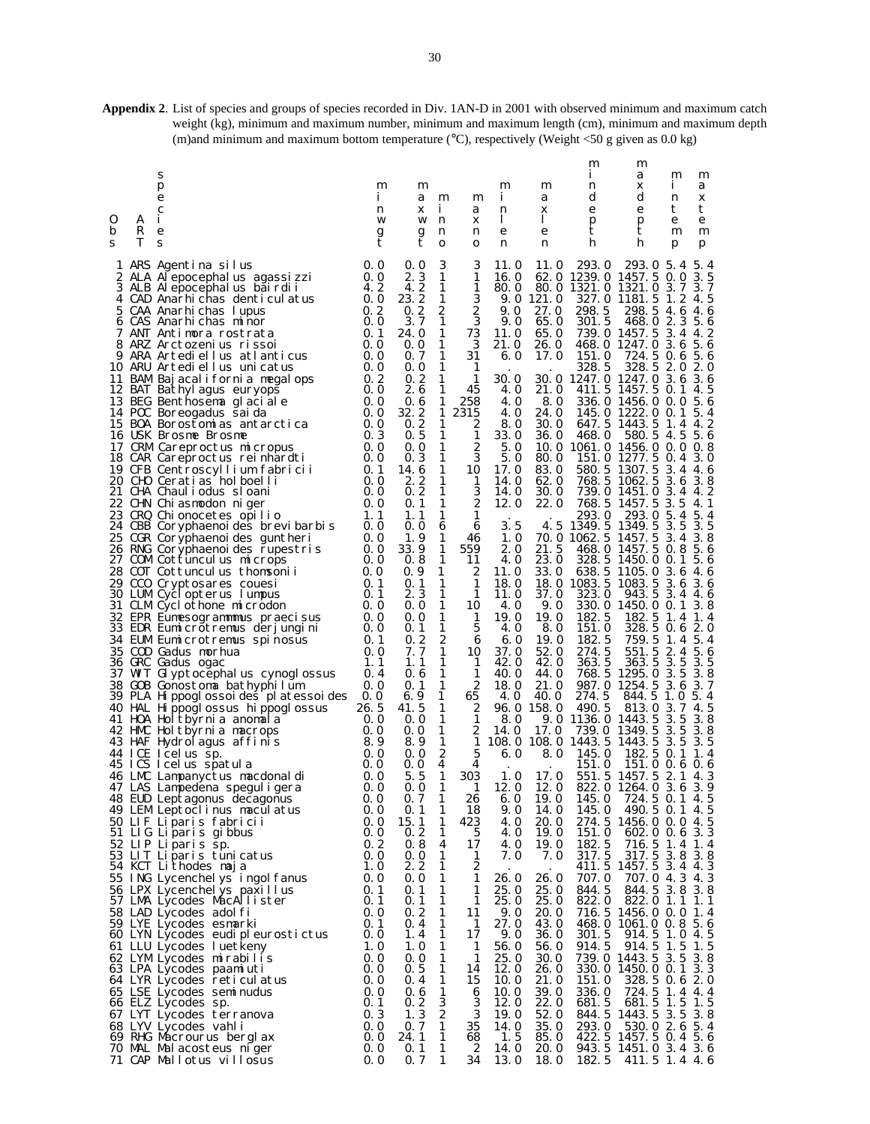**Appendix 2**. List of species and groups of species recorded in Div. 1AN-D in 2001 with observed minimum and maximum catch weight (kg), minimum and maximum number, minimum and maximum length (cm), minimum and maximum depth (m)and minimum and maximum bottom temperature (°C), respectively (Weight <50 g given as 0.0 kg)

|                   |        | s                                                                           |               |                 |         |           |                      |                     | m<br>i                         | m<br>a                                        | m          | m              |
|-------------------|--------|-----------------------------------------------------------------------------|---------------|-----------------|---------|-----------|----------------------|---------------------|--------------------------------|-----------------------------------------------|------------|----------------|
|                   |        | p                                                                           | m             | m               |         |           | m                    | m                   | n                              | x                                             | i          | а              |
|                   |        | e<br>с                                                                      | i<br>n        | a<br>X          | m<br>i  | m<br>а    | ì<br>n               | a<br>x              | d<br>e                         | d<br>e                                        | n<br>t     | x<br>t         |
| 0                 | A      | i                                                                           | W             | W               | n       | X         | $\bf{l}$             | 1                   | p                              | p                                             | e          | e              |
| b<br>s            | R<br>т | e<br>s                                                                      | g<br>t        | g<br>t          | n<br>o  | n<br>о    | е<br>n               | е<br>n              | t<br>h                         | t<br>h                                        | m          | m              |
|                   |        |                                                                             |               |                 |         |           |                      |                     |                                |                                               | p          | p              |
| $\mathbf{I}$<br>2 |        | ARS Agentina silus<br>ALA Al epocephal us agassi zzi                        | 0. O<br>0. 0  | 0. O<br>2.<br>3 | 3<br>1  | 3<br>1    | 11.0<br>16.0         | 11.0                | 293.0<br>62.0 1239.0 1457.5    | 293.0 5.4                                     | 0.0        | 5.4<br>3. 5    |
|                   |        | 3 ALB Alepocephalus bairdii                                                 | 4. 2          | 4.2             | 1       | 1         | 80. O                |                     | 80.0 1321.0 1321.0 3.7         |                                               |            | 3. 7           |
| 5                 |        | 4 CAD Anarhichas denticulatus<br>CAA Anarhichas lupus                       | 0. 0<br>0.2   | 23. 2<br>0.2    | 1<br>2  | 3<br>2    | 9. 0<br>9. 0         | 121.0<br>27. 0      | 298.5                          | 327.0 1181.5 1.2 4.5<br>298.5                 | <b>4.6</b> | 4. G           |
|                   |        | 6 CAS Anarhichas minor                                                      | 0. O          | 3. 7            | 1       | 3         | 9.0                  | 65.0                | 301.5                          | 468.0 2.3                                     |            | 5.6            |
| 7                 |        | ANT Antimora rostrata                                                       | 0. 1          | 24. 0           | 1       | 73        | 11.0                 | 65. 0<br>26. 0      |                                | 739.0 1457.5 3.4 4.2<br>468.0 1247.0          |            |                |
| 8<br>9            |        | ARZ Arctozenius rissoi<br>ARA Artediellus atlanticus                        | 0. 0<br>0. 0  | 0. 0<br>0.7     | 1<br>1  | 3<br>31   | 21. 0<br>6. 0        | 17.0                | 151.0                          | 724.50.6                                      | 3.6        | 5. 6<br>5. 6   |
|                   |        | 10 ARU Artediellus unicatus                                                 | 0. 0          | 0.0             | 1       | 1         |                      |                     | 328. 5                         | 328.52.02.0                                   |            |                |
| 11                |        | BAM Bajacalifornia megalops<br>12 BAT Bathylagus euryops                    | 0. 2<br>0. O  | 0.2<br>2. 6     | 1<br>1  | 1<br>45   | 30. O<br>4. 0        | 30. O<br>21.0       | 1247.0 1247.0                  | 411.5 1457.5 0.1                              | <b>3.6</b> | 3.6<br>4. 5    |
|                   |        | 13 BEG Benthosema glaciale                                                  | 0. 0          | 0. 6            | 1       | 258       | 4. 0                 | 8.0                 |                                | 336.0 1456.0 0.0 5.6                          |            |                |
|                   |        | 14 POC Boreogadus saida<br>15 BOA Borostomias antarctica                    | 0. O<br>0. O  | 32. 2<br>0.2    | 1<br>1  | 2315<br>2 | 4.0<br>8. 0          | 24. 0<br>30. O      |                                | 145.0 1222.0 0.1<br>647.5 1443.5 1.4          |            | 5.4<br>4. 2    |
|                   |        | 16 USK Brosme Brosme                                                        | 0. 3          | 0.5             | 1       | 1         | 33. O                | 36. O               | 468.0                          | 580.54.55.6                                   |            |                |
| 17                |        | CRM Careproctus micropus<br>18 CAR Careproctus reinhardti                   | 0. 0<br>0. O  | 0.0<br>0. 3     | 1<br>1  | 2<br>3    | 5. 0<br>5. 0         | 10.0<br>80.0        | $1061.0$ $1456.0$ $0.0$ $0.8$  | 151.0 1277.5 0.4                              |            | 3. V           |
|                   |        | 19 CFB Centroscyllium fabricii                                              | 0. 1          | 14.6            | 1       | 10        | 17.0                 | 83. O               |                                | 580.5 1307.5 3.4 4.6                          |            |                |
|                   |        | 20 CHO Ceratias holboelli<br>21 CHA Chaul i odus sloani                     | 0. O<br>0. O  | 2. 2<br>0.2     | 1<br>1  | 1<br>3    | 14.0<br>14.0         | 62. O<br>30. 0      |                                | 768.5 1062.5<br>739.0 1451.0 3.4              | 3.6        | 3. 8<br>4. 2   |
|                   |        | 22 CHN Chiasmodon niger                                                     | 0. 0          | 0. 1            | 1       | 2         | 12.0                 | 22.0                |                                | 768.5 1457.5 3.5 4.1                          |            |                |
|                   |        | 23 CRQ Chionocetes opilio<br>24 CBB Coryphaenoi des brevi barbi s           | 1. 1<br>0. O  | 1. 1<br>0. 0    | 1<br>6  | 1<br>6    | 3. 5                 |                     | 293.0<br>4.5 1349.5 1349.5 3.5 | <b>293.0</b>                                  | 5.4        | 5.4<br>3.5     |
|                   |        | 25 CGR Coryphaenoides guntheri                                              | 0. 0          | 1.9             | 1       | 46        | 1.0                  |                     | 70.0 1062.5 1457.5 3.4 3.8     |                                               |            |                |
|                   |        | 26 RNG Coryphaenoides rupestris                                             | 0. 0          | 33. 9           | 1       | 559       | 2. 0                 | 21. 5               |                                | 468.0 1457.5 0.8                              |            | 5. b           |
|                   |        | 27 COM Cottunculus microps<br>28 COT Cottunculus thomsonii                  | 0. O<br>0. 0  | 0.8<br>0.9      | 1<br>1  | 11<br>2   | 4. 0<br>11.0         | 23. O<br>33. O      |                                | 328.5 1450.0 0.1<br>638.5 1105.0 3.6 4.6      |            | 5. ti          |
|                   |        | 29 CCO Cryptosares couesi                                                   | 0. 1          | 0.1             | 1       | 1         | 18.0                 | 18.0                | 1083.5 1083.5                  |                                               | <b>3.6</b> | 3.6            |
|                   |        | 30 LUM Cyclopterus lumpus<br>31 CLM Cyclothone microdon                     | 0. 1<br>0. 0  | 2. 3<br>0.0     | 1<br>1  | 1<br>10   | 11.0<br>4. 0         | 37. O<br>9.0        | 323.0                          | 943.5 3.4<br>330.0 1450.0 0.1 3.8             |            | 4. ti          |
|                   |        | 32 EPR Eumesogrammus praecisus                                              | 0. 0          | 0.0             | 1       | 1         | 19.0                 | 19.0                | 182.5                          | 182.5                                         | 1.4        | 1.4            |
|                   |        | 33 EDR Eumicrotremus derjungini<br>34 EUM Eumicrotremus spinosus            | 0. O<br>0. 1  | 0. 1<br>0. 2    | 1<br>2  | 5<br>6    | 4. 0<br>6. 0         | 8.0<br><b>19.0</b>  | 151.0<br>182.5                 | 328.50.62.0<br>759.51.45.4                    |            |                |
|                   |        | 35 COD Gadus morhua                                                         | 0. 0          | 7. 7            | 1       | 10        | 37. O                | 52.0                | 274.5                          | 551.5                                         | 2.4        | 5.6            |
|                   |        | 36 GRC Gadus ogac<br>37 WIT Glyptocephalus cynoglossus                      | 1. 1<br>0. 4  | 1. 1<br>0. 6    | 1<br>1  | 1<br>1    | 42. 0<br><b>40.0</b> | 42.0<br>44. 0       | 363. 5                         | 363.5 3.5<br>768.5 1295.0 3.5                 |            | З.<br>5<br>3.8 |
|                   |        | 38 GOB Gonostoma bathyphilum                                                | 0. 0          | 0.1             | 1       | 2         | 18.0                 | 21.0                | 987.0                          | 1254.5                                        | <b>3.6</b> | 3.7            |
|                   |        | 39 PLA Hippoglossoides platessoides<br>40 HAL Hi ppogl ossus hi ppogl ossus | 0. O<br>26. 5 | 6. 9<br>41. 5   | 1<br>1  | 65<br>2   | 4.0                  | 40. O<br>96.0 158.0 | 274. 5<br>490.5                | 844.5 1.<br>813.0 3.7                         | $\bf{0}$   | 5.4<br>4.5     |
|                   |        | 41 HOA Holtbyrnia anomala                                                   | 0. 0          | 0.0             | 1       | 1         | 8. 0                 | 9. O                | 1136.0 1443.5                  |                                               | 3.5        | 3. 8           |
|                   |        | 42 HMC Holtbyrnia macrops<br>43 HAF Hydrol agus affinis                     | 0. 0<br>8. 9  | 0. 0<br>8. 9    | 1<br>1  | 2<br>1    | 14.0<br>108.0        | 17.0                | 108.0 1443.5 1443.5 3.5        | 739.0 1349.5                                  | 3.5        | 3. 8<br>3.5    |
|                   |        | 44 ICE Icelus sp.                                                           | 0. 0          | 0.0             | 2       | 5         | 6. O                 | 8. 0                | 145.0                          | 182.5                                         | 0.1        | 1.4            |
|                   |        | 45 ICS I celus spatula                                                      | 0. O<br>0. 0  | 0. 0<br>5. 5    | 4<br>1  | 4<br>303  | 1. 0                 | 17.0                | 151.0                          | 151.00.6<br>551.5 1457.5 2.1                  |            | . U G<br>4.3   |
|                   |        | 46 LMC Lampanyctus macdonaldi<br>47 LAS Lampedena speguligera               | 0.0           | 0. 0            | 1       | 1         | 12.0                 | 12.0                |                                | 822.0 1264.0 3.6 3.9                          |            |                |
|                   |        | 48 EUD Leptagonus decagonus                                                 | V. V          | 0.7             | 1       | zб        | 6. O                 | 19.0                | 145.0                          | $724.5$ 0.1 4.5                               |            |                |
|                   |        | 49 LEM Leptoclinus maculatus<br>50 LIF Liparis fabricii                     | 0.0<br>0.0    | 0.1<br>15.1     | 1<br>1  | 18<br>423 | 9.0<br>4.0           | 14.0<br><b>20.0</b> |                                | $145.0$ 490.5 0.1 4.5<br>274.5 1456.0 0.0 4.5 |            |                |
|                   |        | 51 LIG Liparis gibbus                                                       | 0.0           | 0.2             | 1       | 5         | 4. 0                 | 19.0                | 151.0                          | $602.0$ 0.6 3.3                               |            |                |
|                   |        | 52 LIP Liparis sp.<br>53 LIT Liparis tunicatus                              | 0.2<br>0.0    | 0.8<br>0.0      | 4<br>1  | 17<br>1   | 4. 0<br>7. 0         | <b>19.0</b><br>7.0  | 182.5<br>317.5                 | 716.5 1.4 1.4<br>317.5 3.8 3.8                |            |                |
|                   |        | 54 KCT Lithodes maja                                                        | 1.0           | 2. 2            | 1       | 2         |                      |                     |                                | 411.5 1457.5 3.4 4.3                          |            |                |
|                   |        | 55 ING Lycenchelys ingolfanus<br>56 LPX Lycenchelys paxillus                | 0.0<br>0.1    | 0.0<br>0.1      | 1<br>1  | 1<br>1    | <b>26.0</b><br>25.0  | 26. O<br>25.0       | <b>707.0</b><br>844.5          | 707.0 4.3 4.3<br>844.5 3.8 3.8                |            |                |
|                   |        | 57 LMA Lycodes MacAllister                                                  | 0.1           | 0.1             | 1       | 1         | <b>25.0</b>          | <b>25.0</b>         |                                | 822.0 822.0 1.1 1.1                           |            |                |
|                   |        | 58 LAD Lycodes adolfi<br>59 LYE Lycodes esmarki                             | 0.0<br>0.1    | 0.2<br>0.4      | 1<br>1  | 11<br>1   | 9.0<br><b>27.0</b>   | <b>20.0</b><br>43.0 |                                | 716.5 1456.0 0.0 1.4<br>468.0 1061.0 0.8 5.6  |            |                |
|                   |        | 60 LYN Lycodes eudipleurostictus                                            | 0.0           | 1.4             | 1       | 17        | 9.0                  | 36. O               | 301.5                          | $914.5$ 1.0 4.5                               |            |                |
|                   |        | 61 LLU Lycodes luetkeny<br>62 LYM Lycodes mirabilis                         | 1.0<br>0.0    | 1.0<br>0.0      | 1<br>-1 | 1<br>1    | 56.0<br><b>25.0</b>  | 56.0<br>30.0        | 914.5                          | $914.5$ 1.5 1.5<br>739.0 1443.5 3.5 3.8       |            |                |
|                   |        | 63 LPA Lycodes paamiuti                                                     | 0. 0          | 0.5             | 1       | 14        | 12.0                 | <b>26.0</b>         |                                | 330.0 1450.0 0.1 3.3                          |            |                |
|                   |        | 64 LYR Lycodes reticulatus<br>65 LSE Lycodes seminudus                      | 0.0<br>0. 0   | 0.4<br>0.6      | 1<br>1  | 15<br>6   | 10.0<br>10.0         | 21.0<br>39. O       | 151.0<br>336.0                 | $328.5$ 0.6 2.0<br>724.5 1.4 4.4              |            |                |
|                   |        | 66 ELZ Lycodes sp.                                                          | 0. 1          | 0.2             | 3       | 3         | 12.0                 | <b>22.0</b>         |                                | 681.5 681.5 1.5 1.5                           |            |                |
|                   |        | 67 LYT Lycodes terranova                                                    | 0.3           | 1.3<br>0.7      | 2<br>1  | 3         | <b>19.0</b><br>14.0  | 52.0<br>35.0        |                                | 844.5 1443.5 3.5 3.8                          |            |                |
|                   |        | 68 LYV Lycodes vahli<br>69 RHG Macrourus berglax                            | 0.0<br>0.0    | 24.1            | 1       | 35<br>68  | 1.5                  | 85.0                |                                | 293.0 530.0 2.6 5.4<br>422.5 1457.5 0.4 5.6   |            |                |
|                   |        | 70 MAL Malacosteus niger                                                    | 0.0           | 0.1             | 1       | 2         | 14.0                 | <b>20.0</b>         |                                | 943.5 1451.0 3.4 3.6                          |            |                |
|                   |        | 71 CAP Mallotus villosus                                                    | 0. 0          | 0. 7            | 1       | 34        | 13.0                 | 18.0                | 182.5                          | 411.5 1.4 4.6                                 |            |                |